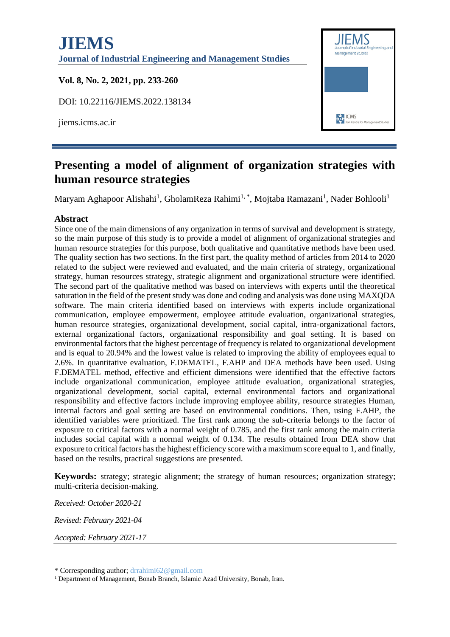

# **Presenting a model of alignment of organization strategies with human resource strategies**

Maryam Aghapoor Alishahi<sup>1</sup>, GholamReza Rahimi<sup>1,\*</sup>, Mojtaba Ramazani<sup>1</sup>, Nader Bohlooli<sup>1</sup>

#### **Abstract**

Since one of the main dimensions of any organization in terms of survival and development is strategy, so the main purpose of this study is to provide a model of alignment of organizational strategies and human resource strategies for this purpose, both qualitative and quantitative methods have been used. The quality section has two sections. In the first part, the quality method of articles from 2014 to 2020 related to the subject were reviewed and evaluated, and the main criteria of strategy, organizational strategy, human resources strategy, strategic alignment and organizational structure were identified. The second part of the qualitative method was based on interviews with experts until the theoretical saturation in the field of the present study was done and coding and analysis was done using MAXQDA software. The main criteria identified based on interviews with experts include organizational communication, employee empowerment, employee attitude evaluation, organizational strategies, human resource strategies, organizational development, social capital, intra-organizational factors, external organizational factors, organizational responsibility and goal setting. It is based on environmental factors that the highest percentage of frequency is related to organizational development and is equal to 20.94% and the lowest value is related to improving the ability of employees equal to 2.6%. In quantitative evaluation, F.DEMATEL, F.AHP and DEA methods have been used. Using F.DEMATEL method, effective and efficient dimensions were identified that the effective factors include organizational communication, employee attitude evaluation, organizational strategies, organizational development, social capital, external environmental factors and organizational responsibility and effective factors include improving employee ability, resource strategies Human, internal factors and goal setting are based on environmental conditions. Then, using F.AHP, the identified variables were prioritized. The first rank among the sub-criteria belongs to the factor of exposure to critical factors with a normal weight of 0.785, and the first rank among the main criteria includes social capital with a normal weight of 0.134. The results obtained from DEA show that exposure to critical factors has the highest efficiency score with a maximum score equal to 1, and finally, based on the results, practical suggestions are presented.

**Keywords:** strategy; strategic alignment; the strategy of human resources; organization strategy; multi-criteria decision-making.

*Received: October 2020-21*

*Revised: February 2021-04*

*Accepted: February 2021-17*

<sup>\*</sup> Corresponding author; drrahimi62@gmail.com

<sup>&</sup>lt;sup>1</sup> Department of Management, Bonab Branch, Islamic Azad University, Bonab, Iran.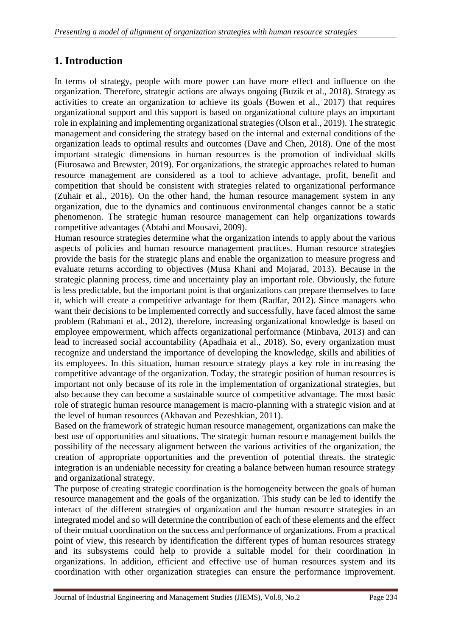# **1. Introduction**

In terms of strategy, people with more power can have more effect and influence on the organization. Therefore, strategic actions are always ongoing (Buzik et al., 2018). Strategy as activities to create an organization to achieve its goals (Bowen et al., 2017) that requires organizational support and this support is based on organizational culture plays an important role in explaining and implementing organizational strategies (Olson et al., 2019). The strategic management and considering the strategy based on the internal and external conditions of the organization leads to optimal results and outcomes (Dave and Chen, 2018). One of the most important strategic dimensions in human resources is the promotion of individual skills (Fiurosawa and Brewster, 2019). For organizations, the strategic approaches related to human resource management are considered as a tool to achieve advantage, profit, benefit and competition that should be consistent with strategies related to organizational performance (Zuhair et al., 2016). On the other hand, the human resource management system in any organization, due to the dynamics and continuous environmental changes cannot be a static phenomenon. The strategic human resource management can help organizations towards competitive advantages (Abtahi and Mousavi, 2009).

Human resource strategies determine what the organization intends to apply about the various aspects of policies and human resource management practices. Human resource strategies provide the basis for the strategic plans and enable the organization to measure progress and evaluate returns according to objectives (Musa Khani and Mojarad, 2013). Because in the strategic planning process, time and uncertainty play an important role. Obviously, the future is less predictable, but the important point is that organizations can prepare themselves to face it, which will create a competitive advantage for them (Radfar, 2012). Since managers who want their decisions to be implemented correctly and successfully, have faced almost the same problem (Rahmani et al., 2012), therefore, increasing organizational knowledge is based on employee empowerment, which affects organizational performance (Minbava, 2013) and can lead to increased social accountability (Apadhaia et al., 2018). So, every organization must recognize and understand the importance of developing the knowledge, skills and abilities of its employees. In this situation, human resource strategy plays a key role in increasing the competitive advantage of the organization. Today, the strategic position of human resources is important not only because of its role in the implementation of organizational strategies, but also because they can become a sustainable source of competitive advantage. The most basic role of strategic human resource management is macro-planning with a strategic vision and at the level of human resources (Akhavan and Pezeshkian, 2011).

Based on the framework of strategic human resource management, organizations can make the best use of opportunities and situations. The strategic human resource management builds the possibility of the necessary alignment between the various activities of the organization, the creation of appropriate opportunities and the prevention of potential threats. the strategic integration is an undeniable necessity for creating a balance between human resource strategy and organizational strategy.

The purpose of creating strategic coordination is the homogeneity between the goals of human resource management and the goals of the organization. This study can be led to identify the interact of the different strategies of organization and the human resource strategies in an integrated model and so will determine the contribution of each of these elements and the effect of their mutual coordination on the success and performance of organizations. From a practical point of view, this research by identification the different types of human resources strategy and its subsystems could help to provide a suitable model for their coordination in organizations. In addition, efficient and effective use of human resources system and its coordination with other organization strategies can ensure the performance improvement.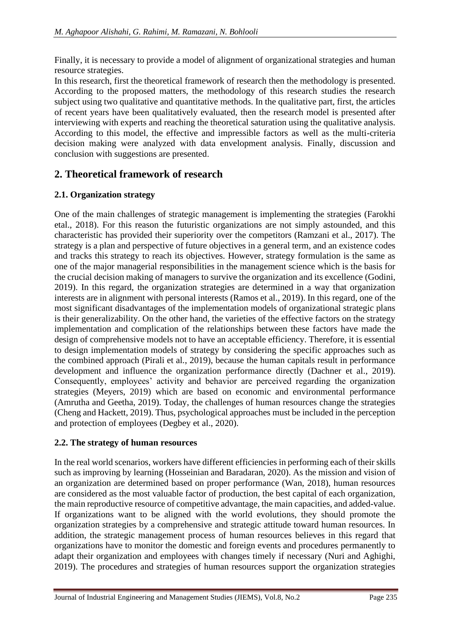Finally, it is necessary to provide a model of alignment of organizational strategies and human resource strategies.

In this research, first the theoretical framework of research then the methodology is presented. According to the proposed matters, the methodology of this research studies the research subject using two qualitative and quantitative methods. In the qualitative part, first, the articles of recent years have been qualitatively evaluated, then the research model is presented after interviewing with experts and reaching the theoretical saturation using the qualitative analysis. According to this model, the effective and impressible factors as well as the multi-criteria decision making were analyzed with data envelopment analysis. Finally, discussion and conclusion with suggestions are presented.

# **2. Theoretical framework of research**

## **2.1. Organization strategy**

One of the main challenges of strategic management is implementing the strategies (Farokhi etal., 2018). For this reason the futuristic organizations are not simply astounded, and this characteristic has provided their superiority over the competitors (Ramzani et al., 2017). The strategy is a plan and perspective of future objectives in a general term, and an existence codes and tracks this strategy to reach its objectives. However, strategy formulation is the same as one of the major managerial responsibilities in the management science which is the basis for the crucial decision making of managers to survive the organization and its excellence (Godini, 2019). In this regard, the organization strategies are determined in a way that organization interests are in alignment with personal interests (Ramos et al., 2019). In this regard, one of the most significant disadvantages of the implementation models of organizational strategic plans is their generalizability. On the other hand, the varieties of the effective factors on the strategy implementation and complication of the relationships between these factors have made the design of comprehensive models not to have an acceptable efficiency. Therefore, it is essential to design implementation models of strategy by considering the specific approaches such as the combined approach (Pirali et al., 2019), because the human capitals result in performance development and influence the organization performance directly (Dachner et al., 2019). Consequently, employees' activity and behavior are perceived regarding the organization strategies (Meyers, 2019) which are based on economic and environmental performance (Amrutha and Geetha, 2019). Today, the challenges of human resources change the strategies (Cheng and Hackett, 2019). Thus, psychological approaches must be included in the perception and protection of employees (Degbey et al., 2020).

## **2.2. The strategy of human resources**

In the real world scenarios, workers have different efficiencies in performing each of their skills such as improving by learning (Hosseinian and Baradaran, 2020). As the mission and vision of an organization are determined based on proper performance (Wan, 2018), human resources are considered as the most valuable factor of production, the best capital of each organization, the main reproductive resource of competitive advantage, the main capacities, and added-value. If organizations want to be aligned with the world evolutions, they should promote the organization strategies by a comprehensive and strategic attitude toward human resources. In addition, the strategic management process of human resources believes in this regard that organizations have to monitor the domestic and foreign events and procedures permanently to adapt their organization and employees with changes timely if necessary (Nuri and Aghighi, 2019). The procedures and strategies of human resources support the organization strategies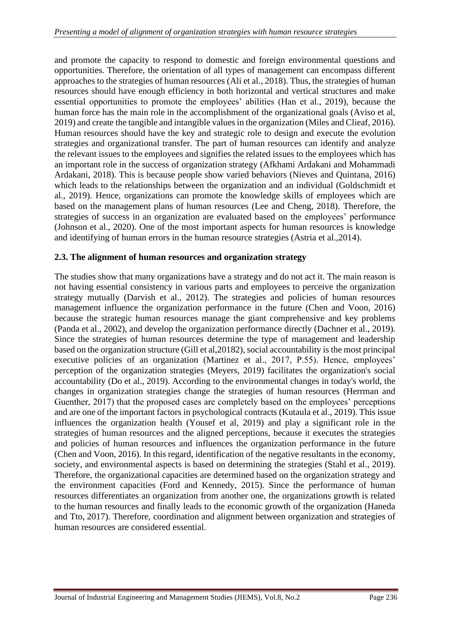and promote the capacity to respond to domestic and foreign environmental questions and opportunities. Therefore, the orientation of all types of management can encompass different approaches to the strategies of human resources (Ali et al., 2018). Thus, the strategies of human resources should have enough efficiency in both horizontal and vertical structures and make essential opportunities to promote the employees' abilities (Han et al., 2019), because the human force has the main role in the accomplishment of the organizational goals (Aviso et al, 2019) and create the tangible and intangible values in the organization (Miles and Clieaf, 2016). Human resources should have the key and strategic role to design and execute the evolution strategies and organizational transfer. The part of human resources can identify and analyze the relevant issues to the employees and signifies the related issues to the employees which has an important role in the success of organization strategy (Afkhami Ardakani and Mohammadi Ardakani, 2018). This is because people show varied behaviors (Nieves and Quintana, 2016) which leads to the relationships between the organization and an individual (Goldschmidt et al., 2019). Hence, organizations can promote the knowledge skills of employees which are based on the management plans of human resources (Lee and Cheng, 2018). Therefore, the strategies of success in an organization are evaluated based on the employees' performance (Johnson et al., 2020). One of the most important aspects for human resources is knowledge and identifying of human errors in the human resource strategies (Astria et al.,2014).

#### **2.3. The alignment of human resources and organization strategy**

The studies show that many organizations have a strategy and do not act it. The main reason is not having essential consistency in various parts and employees to perceive the organization strategy mutually (Darvish et al., 2012). The strategies and policies of human resources management influence the organization performance in the future (Chen and Voon, 2016) because the strategic human resources manage the giant comprehensive and key problems (Panda et al., 2002), and develop the organization performance directly (Dachner et al., 2019). Since the strategies of human resources determine the type of management and leadership based on the organization structure (Gill et al,20182), social accountability is the most principal executive policies of an organization (Martinez et al., 2017, P.55). Hence, employees' perception of the organization strategies (Meyers, 2019) facilitates the organization's social accountability (Do et al., 2019). According to the environmental changes in today's world, the changes in organization strategies change the strategies of human resources (Herrman and Guenther, 2017) that the proposed cases are completely based on the employees' perceptions and are one of the important factors in psychological contracts (Kutaula et al., 2019). This issue influences the organization health (Yousef et al, 2019) and play a significant role in the strategies of human resources and the aligned perceptions, because it executes the strategies and policies of human resources and influences the organization performance in the future (Chen and Voon, 2016). In this regard, identification of the negative resultants in the economy, society, and environmental aspects is based on determining the strategies (Stahl et al., 2019). Therefore, the organizational capacities are determined based on the organization strategy and the environment capacities (Ford and Kennedy, 2015). Since the performance of human resources differentiates an organization from another one, the organizations growth is related to the human resources and finally leads to the economic growth of the organization (Haneda and Tto, 2017). Therefore, coordination and alignment between organization and strategies of human resources are considered essential.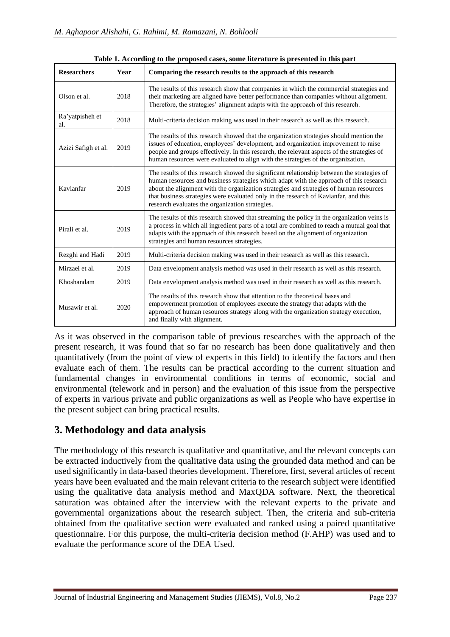| <b>Researchers</b>     | Year | Comparing the research results to the approach of this research                                                                                                                                                                                                                                                                                                                                                          |  |  |
|------------------------|------|--------------------------------------------------------------------------------------------------------------------------------------------------------------------------------------------------------------------------------------------------------------------------------------------------------------------------------------------------------------------------------------------------------------------------|--|--|
| Olson et al.           | 2018 | The results of this research show that companies in which the commercial strategies and<br>their marketing are aligned have better performance than companies without alignment.<br>Therefore, the strategies' alignment adapts with the approach of this research.                                                                                                                                                      |  |  |
| Ra'yatpisheh et<br>al. | 2018 | Multi-criteria decision making was used in their research as well as this research.                                                                                                                                                                                                                                                                                                                                      |  |  |
| Azizi Safigh et al.    | 2019 | The results of this research showed that the organization strategies should mention the<br>issues of education, employees' development, and organization improvement to raise<br>people and groups effectively. In this research, the relevant aspects of the strategies of<br>human resources were evaluated to align with the strategies of the organization.                                                          |  |  |
| Kavianfar              | 2019 | The results of this research showed the significant relationship between the strategies of<br>human resources and business strategies which adapt with the approach of this research<br>about the alignment with the organization strategies and strategies of human resources<br>that business strategies were evaluated only in the research of Kavianfar, and this<br>research evaluates the organization strategies. |  |  |
| Pirali et al.          | 2019 | The results of this research showed that streaming the policy in the organization veins is<br>a process in which all ingredient parts of a total are combined to reach a mutual goal that<br>adapts with the approach of this research based on the alignment of organization<br>strategies and human resources strategies.                                                                                              |  |  |
| Rezghi and Hadi        | 2019 | Multi-criteria decision making was used in their research as well as this research.                                                                                                                                                                                                                                                                                                                                      |  |  |
| Mirzaei et al.         | 2019 | Data envelopment analysis method was used in their research as well as this research.                                                                                                                                                                                                                                                                                                                                    |  |  |
| Khoshandam             | 2019 | Data envelopment analysis method was used in their research as well as this research.                                                                                                                                                                                                                                                                                                                                    |  |  |
| Musawir et al.         | 2020 | The results of this research show that attention to the theoretical bases and<br>empowerment promotion of employees execute the strategy that adapts with the<br>approach of human resources strategy along with the organization strategy execution,<br>and finally with alignment.                                                                                                                                     |  |  |

**Table 1. According to the proposed cases, some literature is presented in this part**

As it was observed in the comparison table of previous researches with the approach of the present research, it was found that so far no research has been done qualitatively and then quantitatively (from the point of view of experts in this field) to identify the factors and then evaluate each of them. The results can be practical according to the current situation and fundamental changes in environmental conditions in terms of economic, social and environmental (telework and in person) and the evaluation of this issue from the perspective of experts in various private and public organizations as well as People who have expertise in the present subject can bring practical results.

# **3. Methodology and data analysis**

The methodology of this research is qualitative and quantitative, and the relevant concepts can be extracted inductively from the qualitative data using the grounded data method and can be used significantly in data-based theories development. Therefore, first, several articles of recent years have been evaluated and the main relevant criteria to the research subject were identified using the qualitative data analysis method and MaxQDA software. Next, the theoretical saturation was obtained after the interview with the relevant experts to the private and governmental organizations about the research subject. Then, the criteria and sub-criteria obtained from the qualitative section were evaluated and ranked using a paired quantitative questionnaire. For this purpose, the multi-criteria decision method (F.AHP) was used and to evaluate the performance score of the DEA Used.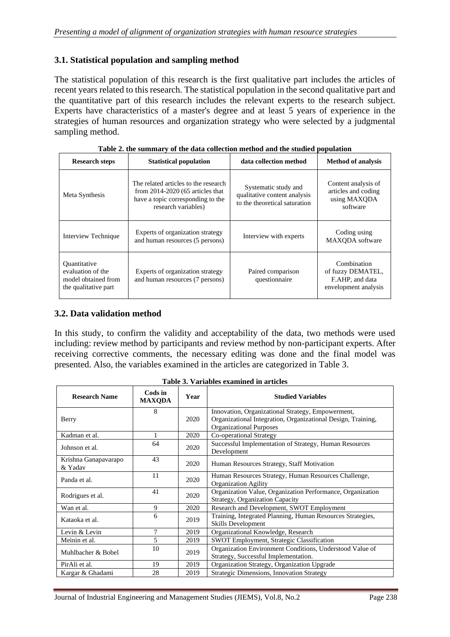#### **3.1. Statistical population and sampling method**

The statistical population of this research is the first qualitative part includes the articles of recent years related to this research. The statistical population in the second qualitative part and the quantitative part of this research includes the relevant experts to the research subject. Experts have characteristics of a master's degree and at least 5 years of experience in the strategies of human resources and organization strategy who were selected by a judgmental sampling method.

| <b>Research steps</b>                                                                   | <b>Statistical population</b>                                                                                                          | data collection method                                                                | <b>Method of analysis</b>                                                   |
|-----------------------------------------------------------------------------------------|----------------------------------------------------------------------------------------------------------------------------------------|---------------------------------------------------------------------------------------|-----------------------------------------------------------------------------|
| Meta Synthesis                                                                          | The related articles to the research<br>from $2014-2020$ (65 articles that<br>have a topic corresponding to the<br>research variables) | Systematic study and<br>qualitative content analysis<br>to the theoretical saturation | Content analysis of<br>articles and coding<br>using MAXQDA<br>software      |
| Interview Technique                                                                     | Experts of organization strategy<br>and human resources (5 persons)                                                                    | Interview with experts                                                                | Coding using<br>MAXODA software                                             |
| <b>Quantitative</b><br>evaluation of the<br>model obtained from<br>the qualitative part | Experts of organization strategy<br>and human resources (7 persons)                                                                    | Paired comparison<br>questionnaire                                                    | Combination<br>of fuzzy DEMATEL,<br>F.AHP, and data<br>envelopment analysis |

| Table 2. the summary of the data collection method and the studied population |  |  |  |
|-------------------------------------------------------------------------------|--|--|--|
|                                                                               |  |  |  |

#### **3.2. Data validation method**

In this study, to confirm the validity and acceptability of the data, two methods were used including: review method by participants and review method by non-participant experts. After receiving corrective comments, the necessary editing was done and the final model was presented. Also, the variables examined in the articles are categorized in Table 3.

| <b>Research Name</b> | Cods in<br><b>MAXODA</b> | Year | <b>Studied Variables</b>                                     |  |  |
|----------------------|--------------------------|------|--------------------------------------------------------------|--|--|
|                      | 8                        |      | Innovation, Organizational Strategy, Empowerment,            |  |  |
| Berry                |                          | 2020 | Organizational Integration, Organizational Design, Training, |  |  |
|                      |                          |      | <b>Organizational Purposes</b>                               |  |  |
| Kadman et al.        |                          | 2020 | Co-operational Strategy                                      |  |  |
| Johnson et al.       | 64                       | 2020 | Successful Implementation of Strategy, Human Resources       |  |  |
|                      |                          |      | Development                                                  |  |  |
| Krishna Ganapavarapo | 43                       |      |                                                              |  |  |
| & Yadav              |                          | 2020 | Human Resources Strategy, Staff Motivation                   |  |  |
|                      | 11                       | 2020 | Human Resources Strategy, Human Resources Challenge,         |  |  |
| Panda et al.         |                          |      | <b>Organization Agility</b>                                  |  |  |
|                      | 41                       | 2020 | Organization Value, Organization Performance, Organization   |  |  |
| Rodrigues et al.     |                          |      | <b>Strategy, Organization Capacity</b>                       |  |  |
| Wan et al.           | 9                        | 2020 | Research and Development, SWOT Employment                    |  |  |
| Kataoka et al.       | 6                        |      | Training, Integrated Planning, Human Resources Strategies,   |  |  |
|                      |                          | 2019 | <b>Skills Development</b>                                    |  |  |
| Levin & Levin        | 7                        | 2019 | Organizational Knowledge, Research                           |  |  |
| Meinin et al.        | 5                        | 2019 | <b>SWOT Employment, Strategic Classification</b>             |  |  |
|                      | 10                       |      | Organization Environment Conditions, Understood Value of     |  |  |
| Muhlbacher & Bobel   |                          | 2019 | Strategy, Successful Implementation.                         |  |  |
| PirAli et al.        | 19                       | 2019 | Organization Strategy, Organization Upgrade                  |  |  |
| Kargar & Ghadami     | 28                       | 2019 | <b>Strategic Dimensions, Innovation Strategy</b>             |  |  |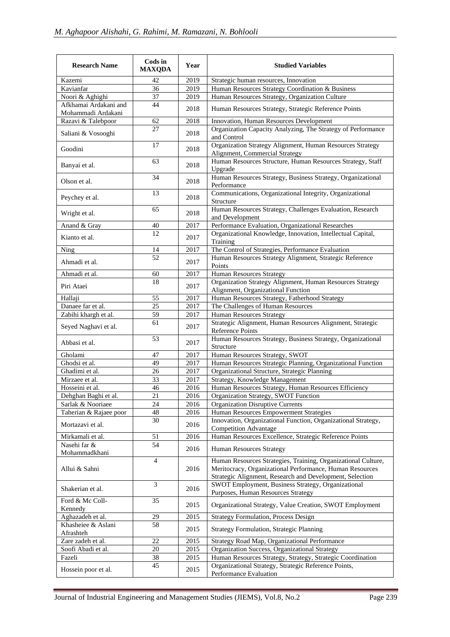| <b>Research Name</b>                        | Cods in<br><b>MAXQDA</b> | Year | <b>Studied Variables</b>                                                                                                                                                              |  |  |
|---------------------------------------------|--------------------------|------|---------------------------------------------------------------------------------------------------------------------------------------------------------------------------------------|--|--|
| Kazemi                                      | 42                       | 2019 | Strategic human resources, Innovation                                                                                                                                                 |  |  |
| Kavianfar                                   | 36                       | 2019 | Human Resources Strategy Coordination & Business                                                                                                                                      |  |  |
| Noori & Aghighi                             | 37                       | 2019 | Human Resources Strategy, Organization Culture                                                                                                                                        |  |  |
| Afkhamai Ardakani and<br>Mohammadi Ardakani | 44                       | 2018 | Human Resources Strategy, Strategic Reference Points                                                                                                                                  |  |  |
| Razavi & Talebpoor                          | 62                       | 2018 | Innovation, Human Resources Development                                                                                                                                               |  |  |
| Saliani & Vosooghi                          | 27                       | 2018 | Organization Capacity Analyzing, The Strategy of Performance<br>and Control                                                                                                           |  |  |
| Goodini                                     | 17                       | 2018 | Organization Strategy Alignment, Human Resources Strategy<br>Alignment, Commercial Strategy                                                                                           |  |  |
| Banyai et al.                               | 63                       | 2018 | Human Resources Structure, Human Resources Strategy, Staff<br>Upgrade                                                                                                                 |  |  |
| Olson et al.                                | 34                       | 2018 | Human Resources Strategy, Business Strategy, Organizational<br>Performance                                                                                                            |  |  |
| Peychey et al.                              | 13                       | 2018 | Communications, Organizational Integrity, Organizational<br>Structure                                                                                                                 |  |  |
| Wright et al.                               | 65                       | 2018 | Human Resources Strategy, Challenges Evaluation, Research<br>and Development                                                                                                          |  |  |
| Anand & Gray                                | 40                       | 2017 | Performance Evaluation, Organizational Researches                                                                                                                                     |  |  |
| Kianto et al.                               | 12                       | 2017 | Organizational Knowledge, Innovation, Intellectual Capital,<br>Training                                                                                                               |  |  |
| Ning                                        | 14                       | 2017 | The Control of Strategies, Performance Evaluation                                                                                                                                     |  |  |
| Ahmadi et al.                               | 52                       | 2017 | Human Resources Strategy Alignment, Strategic Reference<br>Points                                                                                                                     |  |  |
| Ahmadi et al.                               | 60                       | 2017 | Human Resources Strategy                                                                                                                                                              |  |  |
| Piri Ataei                                  | 18                       | 2017 | Organization Strategy Alignment, Human Resources Strategy<br>Alignment, Organizational Function                                                                                       |  |  |
| Hallaji                                     | 55                       | 2017 | Human Resources Strategy, Fatherhood Strategy                                                                                                                                         |  |  |
| Danaee far et al.                           | 25                       | 2017 | The Challenges of Human Resources                                                                                                                                                     |  |  |
| Zabihi khargh et al.                        | 59                       | 2017 | Human Resources Strategy                                                                                                                                                              |  |  |
| Seyed Naghavi et al.                        | 61                       | 2017 | Strategic Alignment, Human Resources Alignment, Strategic<br>Reference Points                                                                                                         |  |  |
| Abbasi et al.                               | 53                       | 2017 | Human Resources Strategy, Business Strategy, Organizational<br>Structure                                                                                                              |  |  |
| Gholami                                     | 47                       | 2017 | Human Resources Strategy, SWOT                                                                                                                                                        |  |  |
| Ghodsi et al.                               | 49                       | 2017 | Human Resources Strategic Planning, Organizational Function                                                                                                                           |  |  |
| Ghadimi et al.                              | 26                       | 2017 | Organizational Structure, Strategic Planning                                                                                                                                          |  |  |
| Mirzaee et al.                              | 33                       | 2017 | Strategy, Knowledge Management                                                                                                                                                        |  |  |
| Hosseini et al.                             | 46                       | 2016 | Human Resources Strategy, Human Resources Efficiency                                                                                                                                  |  |  |
| Dehghan Baghi et al.                        | 21                       | 2016 | Organization Strategy, SWOT Function                                                                                                                                                  |  |  |
| Sarlak & Nooriaee                           | 24                       | 2016 | <b>Organization Disruptive Currents</b>                                                                                                                                               |  |  |
| Taherian & Rajaee poor                      | 48                       | 2016 | Human Resources Empowerment Strategies                                                                                                                                                |  |  |
| Mortazavi et al.                            | 30                       | 2016 | Innovation, Organizational Function, Organizational Strategy,<br><b>Competition Advantage</b>                                                                                         |  |  |
| Mirkamali et al.                            | 51                       | 2016 | Human Resources Excellence, Strategic Reference Points                                                                                                                                |  |  |
| Nasehi far &<br>Mohammadkhani               | $\overline{54}$          | 2016 | <b>Human Resources Strategy</b>                                                                                                                                                       |  |  |
| Allui & Sahni                               | $\overline{4}$           | 2016 | Human Resources Strategies, Training, Organizational Culture,<br>Meritocracy, Organizational Performance, Human Resources<br>Strategic Alignment, Research and Development, Selection |  |  |
| Shakerian et al.                            | 3                        | 2016 | SWOT Employment, Business Strategy, Organizational<br>Purposes, Human Resources Strategy                                                                                              |  |  |
| Ford & Mc Coll-<br>Kennedy                  | 35                       | 2015 | Organizational Strategy, Value Creation, SWOT Employment                                                                                                                              |  |  |
| Aghazadeh et al.                            | 29                       | 2015 | <b>Strategy Formulation, Process Design</b>                                                                                                                                           |  |  |
| Khasheiee & Aslani<br>Afrashteh             | 58                       | 2015 | <b>Strategy Formulation, Strategic Planning</b>                                                                                                                                       |  |  |
| Zare zadeh et al.                           | 22                       | 2015 | Strategy Road Map, Organizational Performance                                                                                                                                         |  |  |
| Soofi Abadi et al.                          | 20                       | 2015 | Organization Success, Organizational Strategy                                                                                                                                         |  |  |
| Fazeli                                      | 38                       | 2015 | Human Resources Strategy, Strategy, Strategic Coordination                                                                                                                            |  |  |
| Hossein poor et al.                         | 45                       | 2015 | Organizational Strategy, Strategic Reference Points,<br>Performance Evaluation                                                                                                        |  |  |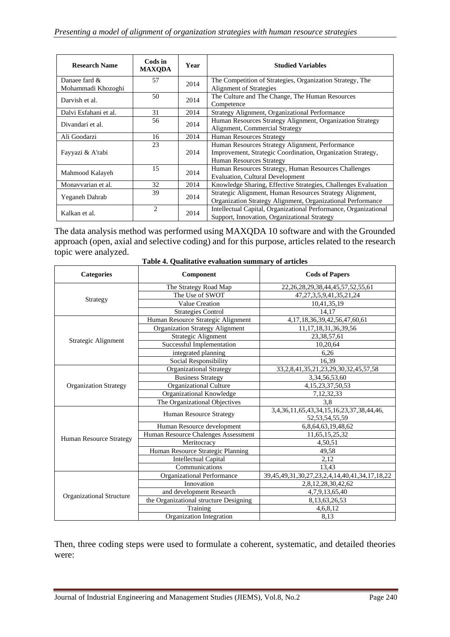| <b>Research Name</b>  | Cods in<br><b>MAXQDA</b> | Year | <b>Studied Variables</b>                                         |  |
|-----------------------|--------------------------|------|------------------------------------------------------------------|--|
| Danaee fard $\&$      | 57                       | 2014 | The Competition of Strategies, Organization Strategy, The        |  |
| Mohammadi Khozoghi    |                          |      | <b>Alignment of Strategies</b>                                   |  |
| Darvish et al.        | 50                       | 2014 | The Culture and The Change, The Human Resources                  |  |
|                       |                          |      | Competence                                                       |  |
| Dalvi Esfahani et al. | 31                       | 2014 | Strategy Alignment, Organizational Performance                   |  |
| Divandari et al.      | 56                       | 2014 | Human Resources Strategy Alignment, Organization Strategy        |  |
|                       |                          |      | Alignment, Commercial Strategy                                   |  |
| Ali Goodarzi          | 16                       | 2014 | <b>Human Resources Strategy</b>                                  |  |
|                       | 23                       |      | Human Resources Strategy Alignment, Performance                  |  |
| Fayyazi & A'rabi      |                          | 2014 | Improvement, Strategic Coordination, Organization Strategy,      |  |
|                       |                          |      | <b>Human Resources Strategy</b>                                  |  |
|                       | 15                       | 2014 | Human Resources Strategy, Human Resources Challenges             |  |
| Mahmood Kalayeh       |                          |      | <b>Evaluation, Cultural Development</b>                          |  |
| Monavvarian et al.    | 32                       | 2014 | Knowledge Sharing, Effective Strategies, Challenges Evaluation   |  |
|                       | 39                       |      | Strategic Alignment, Human Resources Strategy Alignment,         |  |
| Yeganeh Dahrab        |                          | 2014 | Organization Strategy Alignment, Organizational Performance      |  |
| Kalkan et al.         | $\overline{c}$           |      | Intellectual Capital, Organizational Performance, Organizational |  |
|                       |                          | 2014 | Support, Innovation, Organizational Strategy                     |  |

The data analysis method was performed using MAXQDA 10 software and with the Grounded approach (open, axial and selective coding) and for this purpose, articles related to the research topic were analyzed.

| <b>Categories</b>               | Component                              | <b>Cods of Papers</b>                                          |  |  |
|---------------------------------|----------------------------------------|----------------------------------------------------------------|--|--|
|                                 | The Strategy Road Map                  | 22, 26, 28, 29, 38, 44, 45, 57, 52, 55, 61                     |  |  |
|                                 | The Use of SWOT                        | 47, 27, 3, 5, 9, 41, 35, 21, 24                                |  |  |
| Strategy                        | <b>Value Creation</b>                  | 10,41,35,19                                                    |  |  |
|                                 | <b>Strategies Control</b>              | 14,17                                                          |  |  |
|                                 | Human Resource Strategic Alignment     | 4, 17, 18, 36, 39, 42, 56, 47, 60, 61                          |  |  |
|                                 | Organization Strategy Alignment        | 11, 17, 18, 31, 36, 39, 56                                     |  |  |
|                                 | Strategic Alignment                    | 23,38,57,61                                                    |  |  |
| Strategic Alignment             | Successful Implementation              | 10,20,64                                                       |  |  |
|                                 | integrated planning                    | 6,26                                                           |  |  |
|                                 | Social Responsibility                  | 16.39                                                          |  |  |
|                                 | <b>Organizational Strategy</b>         | 33, 2, 8, 41, 35, 21, 23, 29, 30, 32, 45, 57, 58               |  |  |
|                                 | <b>Business Strategy</b>               | 3, 34, 56, 53, 60                                              |  |  |
| <b>Organization Strategy</b>    | Organizational Culture                 | 4, 15, 23, 37, 50, 53                                          |  |  |
|                                 | Organizational Knowledge               | 7,12,32,33                                                     |  |  |
|                                 | The Organizational Objectives          | 3,8                                                            |  |  |
|                                 | <b>Human Resource Strategy</b>         | 3,4,36,11,65,43,34,15,16,23,37,38,44,46,<br>52, 53, 54, 55, 59 |  |  |
|                                 | Human Resource development             | 6,8,64,63,19,48,62                                             |  |  |
|                                 | Human Resource Chalenges Assessment    | 11,65,15,25,32                                                 |  |  |
| <b>Human Resource Strategy</b>  | Meritocracy                            | 4,50,51                                                        |  |  |
|                                 | Human Resource Strategic Planning      | 49,58                                                          |  |  |
|                                 | <b>Intellectual Capital</b>            | 2.12                                                           |  |  |
|                                 | Communications                         | 13,43                                                          |  |  |
|                                 | Organizational Performance             | 39, 45, 49, 31, 30, 27, 23, 2, 4, 14, 40, 41, 34, 17, 18, 22   |  |  |
|                                 | Innovation                             | 2,8,12,28,30,42,62                                             |  |  |
|                                 | and development Research               | 4,7,9,13,65,40                                                 |  |  |
| <b>Organizational Structure</b> | the Organizational structure Designing | 8, 13, 63, 26, 53                                              |  |  |
|                                 | Training                               | 4,6,8,12                                                       |  |  |
|                                 | Organization Integration               | 8.13                                                           |  |  |

**Table 4. Qualitative evaluation summary of articles**

Then, three coding steps were used to formulate a coherent, systematic, and detailed theories were: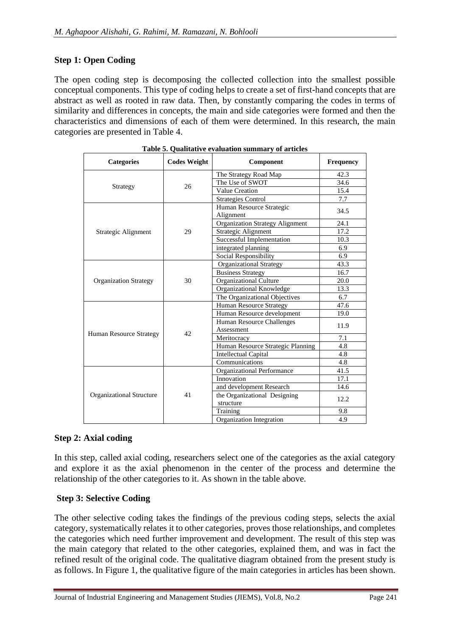### **Step 1: Open Coding**

The open coding step is decomposing the collected collection into the smallest possible conceptual components. This type of coding helps to create a set of first-hand concepts that are abstract as well as rooted in raw data. Then, by constantly comparing the codes in terms of similarity and differences in concepts, the main and side categories were formed and then the characteristics and dimensions of each of them were determined. In this research, the main categories are presented in Table 4.

| <b>Categories</b>               | <b>Codes Weight</b> | Component                              | Frequency |
|---------------------------------|---------------------|----------------------------------------|-----------|
|                                 |                     | The Strategy Road Map                  | 42.3      |
|                                 | 26                  | The Use of SWOT                        | 34.6      |
| Strategy                        |                     | Value Creation                         | 15.4      |
|                                 |                     | <b>Strategies Control</b>              | 7.7       |
|                                 |                     | Human Resource Strategic               | 34.5      |
|                                 |                     | Alignment                              |           |
|                                 |                     | <b>Organization Strategy Alignment</b> | 24.1      |
| Strategic Alignment             | 29                  | Strategic Alignment                    | 17.2      |
|                                 |                     | Successful Implementation              | 10.3      |
|                                 |                     | integrated planning                    | 6.9       |
|                                 |                     | Social Responsibility                  | 6.9       |
|                                 |                     | Organizational Strategy                | 43.3      |
|                                 |                     | <b>Business Strategy</b>               | 16.7      |
| <b>Organization Strategy</b>    | 30                  | Organizational Culture                 | 20.0      |
|                                 |                     | Organizational Knowledge               | 13.3      |
|                                 |                     | The Organizational Objectives          | 6.7       |
|                                 | 42                  | <b>Human Resource Strategy</b>         | 47.6      |
|                                 |                     | Human Resource development             | 19.0      |
|                                 |                     | Human Resource Challenges              | 11.9      |
| Human Resource Strategy         |                     | Assessment                             |           |
|                                 |                     | Meritocracy                            | 7.1       |
|                                 |                     | Human Resource Strategic Planning      | 4.8       |
|                                 |                     | <b>Intellectual Capital</b>            | 4.8       |
|                                 |                     | Communications                         | 4.8       |
|                                 |                     | Organizational Performance             | 41.5      |
|                                 |                     | Innovation                             | 17.1      |
|                                 |                     | and development Research               | 14.6      |
| <b>Organizational Structure</b> | 41                  | the Organizational Designing           | 12.2      |
|                                 |                     | structure                              |           |
|                                 |                     | Training                               | 9.8       |
|                                 |                     | Organization Integration               | 4.9       |

**Table 5. Qualitative evaluation summary of articles**

#### **Step 2: Axial coding**

In this step, called axial coding, researchers select one of the categories as the axial category and explore it as the axial phenomenon in the center of the process and determine the relationship of the other categories to it. As shown in the table above.

#### **Step 3: Selective Coding**

The other selective coding takes the findings of the previous coding steps, selects the axial category, systematically relates it to other categories, proves those relationships, and completes the categories which need further improvement and development. The result of this step was the main category that related to the other categories, explained them, and was in fact the refined result of the original code. The qualitative diagram obtained from the present study is as follows. In Figure 1, the qualitative figure of the main categories in articles has been shown.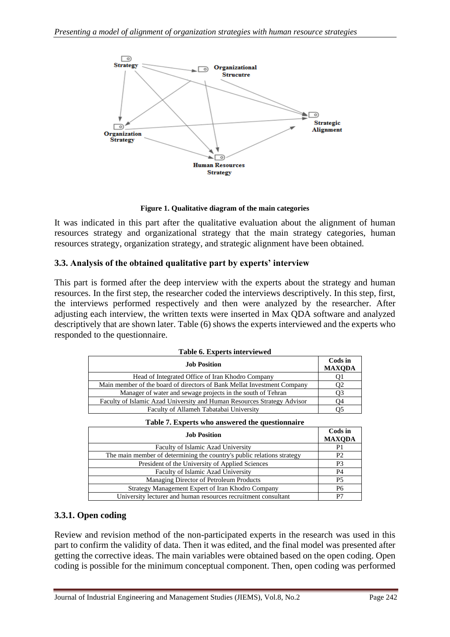

**Figure 1. Qualitative diagram of the main categories**

It was indicated in this part after the qualitative evaluation about the alignment of human resources strategy and organizational strategy that the main strategy categories, human resources strategy, organization strategy, and strategic alignment have been obtained.

### **3.3. Analysis of the obtained qualitative part by experts' interview**

This part is formed after the deep interview with the experts about the strategy and human resources. In the first step, the researcher coded the interviews descriptively. In this step, first, the interviews performed respectively and then were analyzed by the researcher. After adjusting each interview, the written texts were inserted in Max QDA software and analyzed descriptively that are shown later. Table (6) shows the experts interviewed and the experts who responded to the questionnaire.

| Table 6. Experts interviewed                                            |                          |
|-------------------------------------------------------------------------|--------------------------|
| <b>Job Position</b>                                                     | Cods in<br><b>MAXODA</b> |
| Head of Integrated Office of Iran Khodro Company                        |                          |
| Main member of the board of directors of Bank Mellat Investment Company |                          |
| Manager of water and sewage projects in the south of Tehran             |                          |
| Faculty of Islamic Azad University and Human Resources Strategy Advisor |                          |
| Faculty of Allameh Tabatabai University                                 |                          |

| Table 7. Experts who answered the questionnance                        |                          |
|------------------------------------------------------------------------|--------------------------|
| <b>Job Position</b>                                                    | Cods in<br><b>MAXODA</b> |
| Faculty of Islamic Azad University                                     | P <sub>1</sub>           |
| The main member of determining the country's public relations strategy | P <sub>2</sub>           |
| President of the University of Applied Sciences                        | P <sub>3</sub>           |
| Faculty of Islamic Azad University                                     | <b>P4</b>                |
| Managing Director of Petroleum Products                                | <b>P5</b>                |
| Strategy Management Expert of Iran Khodro Company                      | P6                       |
| University lecturer and human resources recruitment consultant         | P7                       |
|                                                                        |                          |

|  |  | Table 7. Experts who answered the questionnaire |
|--|--|-------------------------------------------------|
|  |  |                                                 |

#### **3.3.1. Open coding**

Review and revision method of the non-participated experts in the research was used in this part to confirm the validity of data. Then it was edited, and the final model was presented after getting the corrective ideas. The main variables were obtained based on the open coding. Open coding is possible for the minimum conceptual component. Then, open coding was performed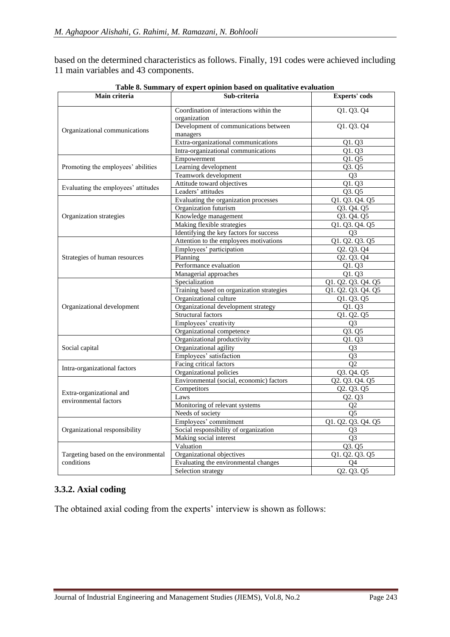based on the determined characteristics as follows. Finally, 191 codes were achieved including 11 main variables and 43 components.

| Main criteria                        | Table of Summary of expert opinion based on quantative evaluation<br>Sub-criteria | Experts' cods      |
|--------------------------------------|-----------------------------------------------------------------------------------|--------------------|
|                                      | Coordination of interactions within the                                           | Q1. Q3. Q4         |
|                                      | organization                                                                      |                    |
|                                      | Development of communications between                                             | Q1. Q3. Q4         |
| Organizational communications        | managers                                                                          |                    |
|                                      | Extra-organizational communications                                               | Q1. Q3             |
|                                      | Intra-organizational communications                                               | Q1. Q3             |
|                                      | Empowerment                                                                       | Q1. Q5             |
| Promoting the employees' abilities   | Learning development                                                              | Q3. Q5             |
|                                      | Teamwork development                                                              | $\overline{Q3}$    |
| Evaluating the employees' attitudes  | Attitude toward objectives                                                        | Q1. Q3             |
|                                      | Leaders' attitudes                                                                | Q3. Q5             |
|                                      | Evaluating the organization processes                                             | Q1. Q3. Q4. Q5     |
|                                      | Organization futurism                                                             | Q3. Q4. Q5         |
| Organization strategies              | Knowledge management                                                              | Q3. Q4. Q5         |
|                                      | Making flexible strategies                                                        | Q1. Q3. Q4. Q5     |
|                                      | Identifying the key factors for success                                           | Q <sub>3</sub>     |
|                                      | Attention to the employees motivations                                            | Q1. Q2. Q3. Q5     |
|                                      | Employees' participation                                                          | Q2. Q3. Q4         |
| Strategies of human resources        | Planning                                                                          | Q2. Q3. Q4         |
|                                      | Performance evaluation                                                            | Q1. Q3             |
|                                      | Managerial approaches                                                             | Q1. Q3             |
|                                      | Specialization                                                                    | Q1. Q2. Q3. Q4. Q5 |
|                                      | Training based on organization strategies                                         | Q1. Q2. Q3. Q4. Q5 |
|                                      | Organizational culture                                                            | Q1. Q3. Q5         |
| Organizational development           | Organizational development strategy                                               | Q1. Q3             |
|                                      | Structural factors                                                                | Q1. Q2. Q5         |
|                                      | Employees' creativity                                                             | Q <sub>3</sub>     |
|                                      | Organizational competence                                                         | Q3. Q5             |
|                                      | Organizational productivity                                                       | Q1. Q3             |
| Social capital                       | Organizational agility                                                            | Q <sub>3</sub>     |
|                                      | Employees' satisfaction                                                           | Q <sub>3</sub>     |
| Intra-organizational factors         | Facing critical factors                                                           | $\overline{Q2}$    |
|                                      | Organizational policies                                                           | Q3. Q4. Q5         |
|                                      | Environmental (social, economic) factors                                          | Q2. Q3. Q4. Q5     |
| Extra-organizational and             | Competitors                                                                       | Q2. Q3. Q5         |
| environmental factors                | Laws                                                                              | Q2. Q3             |
|                                      | Monitoring of relevant systems                                                    | O <sub>2</sub>     |
|                                      | Needs of society                                                                  | Q5                 |
|                                      | Employees' commitment                                                             | Q1. Q2. Q3. Q4. Q5 |
| Organizational responsibility        | Social responsibility of organization                                             | Q <sub>3</sub>     |
|                                      | Making social interest                                                            | O <sub>3</sub>     |
|                                      | Valuation                                                                         | Q3. Q5             |
| Targeting based on the environmental | Organizational objectives                                                         | Q1. Q2. Q3. Q5     |
| conditions                           | Evaluating the environmental changes                                              | Q4                 |
|                                      | Selection strategy                                                                | Q2. Q3. Q5         |

**Table 8. Summary of expert opinion based on qualitative evaluation**

## **3.3.2. Axial coding**

The obtained axial coding from the experts' interview is shown as follows: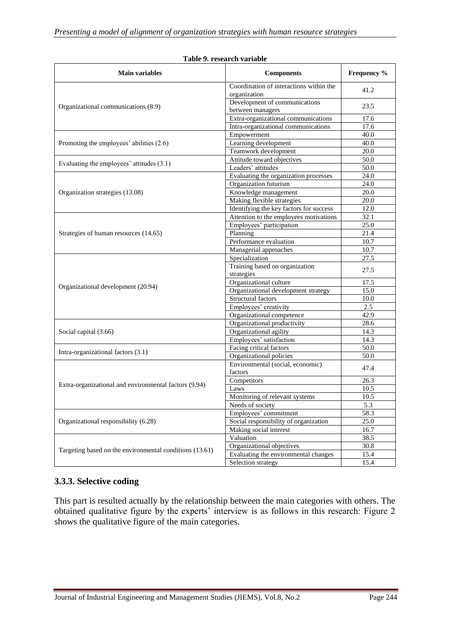| <b>Main variables</b>                                                                                                                                                                                                                   | <b>Components</b>                                       | Frequency % |
|-----------------------------------------------------------------------------------------------------------------------------------------------------------------------------------------------------------------------------------------|---------------------------------------------------------|-------------|
|                                                                                                                                                                                                                                         | Coordination of interactions within the<br>organization | 41.2        |
| Organizational communications (8.9)<br>Organization strategies (13.08)<br>Strategies of human resources (14.65)<br>Organizational development (20.94)<br>Social capital (3.66)<br>Extra-organizational and environmental factors (9.94) | Development of communications<br>between managers       | 23.5        |
|                                                                                                                                                                                                                                         | Extra-organizational communications                     | 17.6        |
|                                                                                                                                                                                                                                         | Intra-organizational communications                     | 17.6        |
|                                                                                                                                                                                                                                         | Empowerment                                             | 40.0        |
| Promoting the employees' abilities (2.6)                                                                                                                                                                                                | Learning development                                    | 40.0        |
|                                                                                                                                                                                                                                         | Teamwork development                                    | 20.0        |
|                                                                                                                                                                                                                                         | Attitude toward objectives                              | 50.0        |
|                                                                                                                                                                                                                                         | Leaders' attitudes                                      | 50.0        |
|                                                                                                                                                                                                                                         | Evaluating the organization processes                   | 24.0        |
|                                                                                                                                                                                                                                         | Organization futurism                                   | 24.0        |
|                                                                                                                                                                                                                                         | Knowledge management                                    | 20.0        |
|                                                                                                                                                                                                                                         | Making flexible strategies                              | 20.0        |
|                                                                                                                                                                                                                                         | Identifying the key factors for success                 | 12.0        |
|                                                                                                                                                                                                                                         | Attention to the employees motivations                  | 32.1        |
|                                                                                                                                                                                                                                         | Employees' participation                                | 25.0        |
| Evaluating the employees' attitudes (3.1)<br>Intra-organizational factors (3.1)                                                                                                                                                         | Planning                                                | 21.4        |
|                                                                                                                                                                                                                                         | Performance evaluation                                  | 10.7        |
|                                                                                                                                                                                                                                         | Managerial approaches                                   | 10.7        |
|                                                                                                                                                                                                                                         | Specialization                                          | 27.5        |
|                                                                                                                                                                                                                                         | Training based on organization<br>strategies            | 27.5        |
|                                                                                                                                                                                                                                         | Organizational culture                                  | 17.5        |
|                                                                                                                                                                                                                                         | Organizational development strategy                     | 15.0        |
|                                                                                                                                                                                                                                         | Structural factors                                      | 10.0        |
|                                                                                                                                                                                                                                         | Employees' creativity                                   | 2.5         |
|                                                                                                                                                                                                                                         | Organizational competence                               | 42.9        |
|                                                                                                                                                                                                                                         | Organizational productivity                             | 28.6        |
|                                                                                                                                                                                                                                         | Organizational agility                                  | 14.3        |
|                                                                                                                                                                                                                                         | Employees' satisfaction                                 | 14.3        |
|                                                                                                                                                                                                                                         | Facing critical factors                                 | 50.0        |
|                                                                                                                                                                                                                                         | Organizational policies                                 | 50.0        |
|                                                                                                                                                                                                                                         | Environmental (social, economic)<br>factors             | 47.4        |
|                                                                                                                                                                                                                                         | Competitors                                             | 26.3        |
|                                                                                                                                                                                                                                         | Laws                                                    | 10.5        |
|                                                                                                                                                                                                                                         | Monitoring of relevant systems                          | 10.5        |
|                                                                                                                                                                                                                                         | Needs of society                                        |             |
|                                                                                                                                                                                                                                         | Employees' commitment                                   | 5.3<br>58.3 |
| Organizational responsibility (6.28)                                                                                                                                                                                                    |                                                         |             |
|                                                                                                                                                                                                                                         | Social responsibility of organization                   | 25.0        |
|                                                                                                                                                                                                                                         | Making social interest                                  | 16.7        |
|                                                                                                                                                                                                                                         | Valuation                                               | 38.5        |
| Targeting based on the environmental conditions (13.61)                                                                                                                                                                                 | Organizational objectives                               | 30.8        |
|                                                                                                                                                                                                                                         | Evaluating the environmental changes                    | 15.4        |
|                                                                                                                                                                                                                                         | Selection strategy                                      | 15.4        |

#### **Table 9. research variable**

#### **3.3.3. Selective coding**

This part is resulted actually by the relationship between the main categories with others. The obtained qualitative figure by the experts' interview is as follows in this research: Figure 2 shows the qualitative figure of the main categories.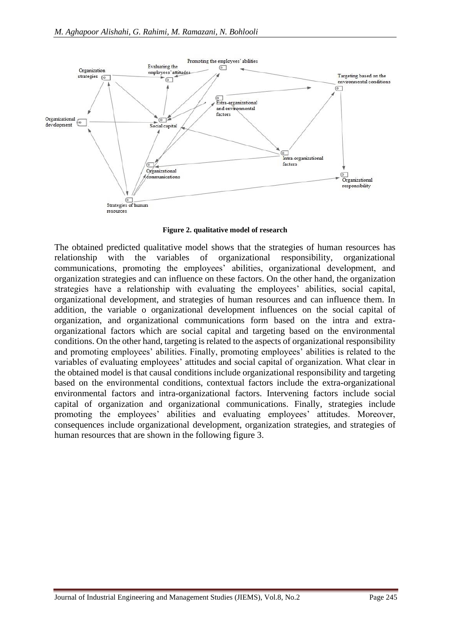

**Figure 2. qualitative model of research**

The obtained predicted qualitative model shows that the strategies of human resources has relationship with the variables of organizational responsibility, organizational communications, promoting the employees' abilities, organizational development, and organization strategies and can influence on these factors. On the other hand, the organization strategies have a relationship with evaluating the employees' abilities, social capital, organizational development, and strategies of human resources and can influence them. In addition, the variable o organizational development influences on the social capital of organization, and organizational communications form based on the intra and extraorganizational factors which are social capital and targeting based on the environmental conditions. On the other hand, targeting is related to the aspects of organizational responsibility and promoting employees' abilities. Finally, promoting employees' abilities is related to the variables of evaluating employees' attitudes and social capital of organization. What clear in the obtained model is that causal conditions include organizational responsibility and targeting based on the environmental conditions, contextual factors include the extra-organizational environmental factors and intra-organizational factors. Intervening factors include social capital of organization and organizational communications. Finally, strategies include promoting the employees' abilities and evaluating employees' attitudes. Moreover, consequences include organizational development, organization strategies, and strategies of human resources that are shown in the following figure 3.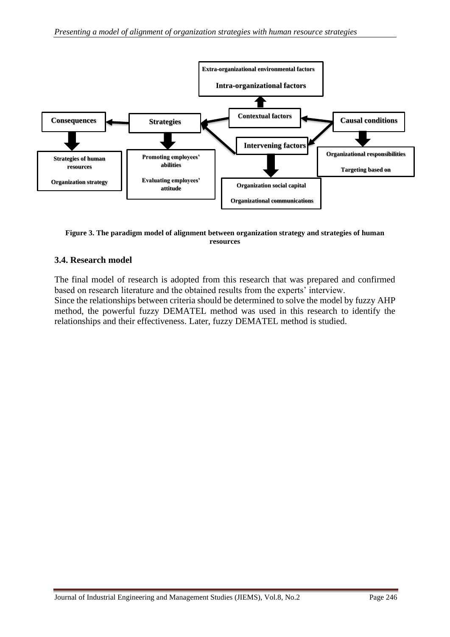

**Figure 3. The paradigm model of alignment between organization strategy and strategies of human resources**

#### **3.4. Research model**

The final model of research is adopted from this research that was prepared and confirmed based on research literature and the obtained results from the experts' interview. Since the relationships between criteria should be determined to solve the model by fuzzy AHP method, the powerful fuzzy DEMATEL method was used in this research to identify the relationships and their effectiveness. Later, fuzzy DEMATEL method is studied.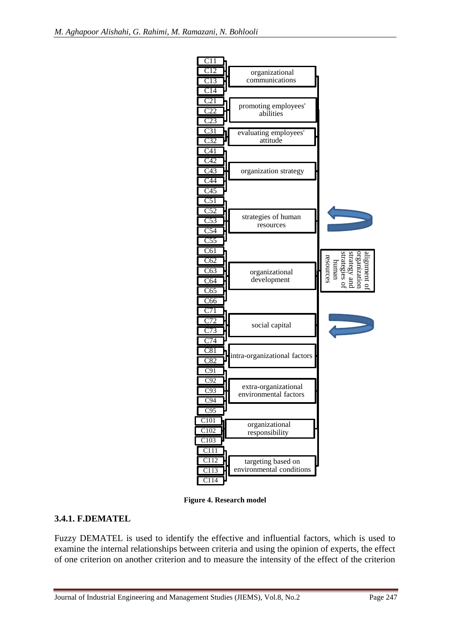

**Figure 4. Research model**

## **3.4.1. F.DEMATEL**

Fuzzy DEMATEL is used to identify the effective and influential factors, which is used to examine the internal relationships between criteria and using the opinion of experts, the effect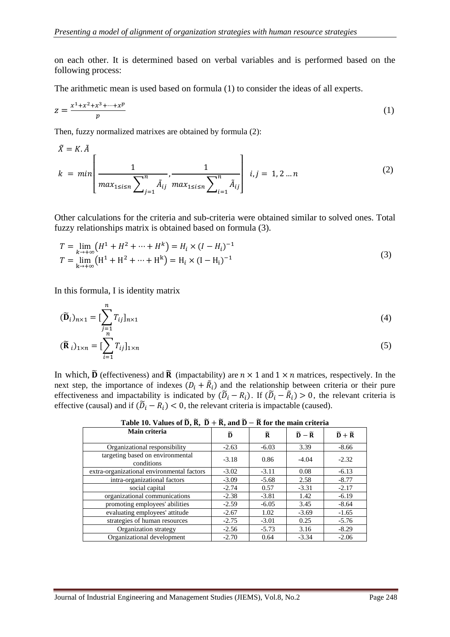on each other. It is determined based on verbal variables and is performed based on the following process:

The arithmetic mean is used based on formula (1) to consider the ideas of all experts.

$$
z = \frac{x^1 + x^2 + x^3 + \dots + x^p}{p} \tag{1}
$$

Then, fuzzy normalized matrixes are obtained by formula (2):

$$
\tilde{X} = K.\tilde{A}
$$
\n
$$
k = min \left[ \frac{1}{\max_{1 \le i \le n} \sum_{j=1}^{n} \tilde{A}_{ij}} \frac{1}{\max_{1 \le i \le n} \sum_{i=1}^{n} \tilde{A}_{ij}} \right] i, j = 1, 2 \dots n
$$
\n(2)

Other calculations for the criteria and sub-criteria were obtained similar to solved ones. Total fuzzy relationships matrix is obtained based on formula (3).

$$
T = \lim_{k \to +\infty} (H^1 + H^2 + \dots + H^k) = H_i \times (I - H_i)^{-1}
$$
  
\n
$$
T = \lim_{k \to +\infty} (H^1 + H^2 + \dots + H^k) = H_i \times (I - H_i)^{-1}
$$
\n(3)

In this formula, I is identity matrix

$$
(\widetilde{\mathbf{D}}_i)_{n \times 1} = \left[\sum_{j=1}^n T_{ij}\right]_{n \times 1} \tag{4}
$$

$$
(\widetilde{\mathbf{R}}_i)_{1 \times n} = \left[\sum_{i=1}^n T_{ij}\right]_{1 \times n} \tag{5}
$$

In which,  $\tilde{D}$  (effectiveness) and  $\tilde{R}$  (impactability) are  $n \times 1$  and  $1 \times n$  matrices, respectively. In the next step, the importance of indexes  $(D_i + \tilde{R}_i)$  and the relationship between criteria or their pure effectiveness and impactability is indicated by  $(\tilde{D}_i - R_i)$ . If  $(\tilde{D}_i - \tilde{R}_i) > 0$ , the relevant criteria is effective (causal) and if  $(\widetilde{D}_i - R_i) < 0$ , the relevant criteria is impactable (caused).

| Main criteria                                  | õ       | $\widetilde{\mathbf{R}}$ | $\widetilde{\mathbf{D}} - \widetilde{\mathbf{R}}$ | $\widetilde{D} + \widetilde{R}$ |
|------------------------------------------------|---------|--------------------------|---------------------------------------------------|---------------------------------|
| Organizational responsibility                  | $-2.63$ | $-6.03$                  | 3.39                                              | $-8.66$                         |
| targeting based on environmental<br>conditions | $-3.18$ | 0.86                     | $-4.04$                                           | $-2.32$                         |
| extra-organizational environmental factors     | $-3.02$ | $-3.11$                  | 0.08                                              | $-6.13$                         |
| intra-organizational factors                   | $-3.09$ | $-5.68$                  | 2.58                                              | $-8.77$                         |
| social capital                                 | $-2.74$ | 0.57                     | $-3.31$                                           | $-2.17$                         |
| organizational communications                  | $-2.38$ | $-3.81$                  | 1.42                                              | $-6.19$                         |
| promoting employees' abilities                 | $-2.59$ | $-6.05$                  | 3.45                                              | $-8.64$                         |
| evaluating employees' attitude                 | $-2.67$ | 1.02                     | $-3.69$                                           | $-1.65$                         |
| strategies of human resources                  | $-2.75$ | $-3.01$                  | 0.25                                              | $-5.76$                         |
| Organization strategy                          | $-2.56$ | $-5.73$                  | 3.16                                              | $-8.29$                         |
| Organizational development                     | $-2.70$ | 0.64                     | $-3.34$                                           | $-2.06$                         |

**Table 10. Values of**  $\widetilde{D}$ ,  $\widetilde{R}$ ,  $\widetilde{D} + \widetilde{R}$ , and  $\widetilde{D} - \widetilde{R}$  for the main criteria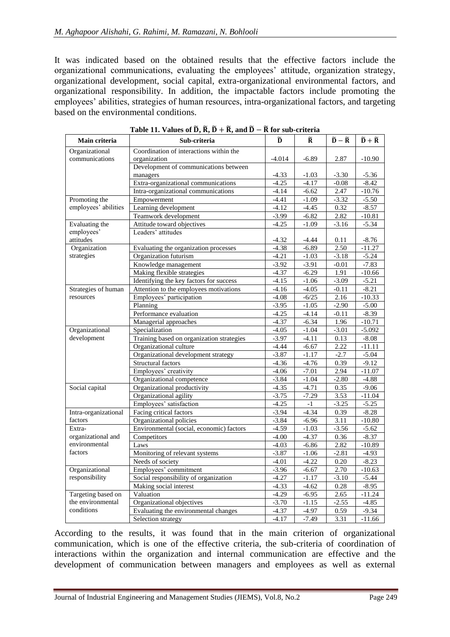It was indicated based on the obtained results that the effective factors include the organizational communications, evaluating the employees' attitude, organization strategy, organizational development, social capital, extra-organizational environmental factors, and organizational responsibility. In addition, the impactable factors include promoting the employees' abilities, strategies of human resources, intra-organizational factors, and targeting based on the environmental conditions.

| Main criteria        | Sub-criteria                              | ñ        | Ř.      | $\widetilde{\mathbf{D}} - \widetilde{\mathbf{R}}$ | $\widetilde{\mathbf{D}} + \widetilde{\mathbf{R}}$ |
|----------------------|-------------------------------------------|----------|---------|---------------------------------------------------|---------------------------------------------------|
| Organizational       | Coordination of interactions within the   |          |         |                                                   |                                                   |
| communications       | organization                              | $-4.014$ | $-6.89$ | 2.87                                              | $-10.90$                                          |
|                      | Development of communications between     |          |         |                                                   |                                                   |
|                      | managers                                  | $-4.33$  | $-1.03$ | $-3.30$                                           | $-5.36$                                           |
|                      | Extra-organizational communications       | $-4.25$  | $-4.17$ | $-0.08$                                           | $-8.42$                                           |
|                      | Intra-organizational communications       | $-4.14$  | $-6.62$ | 2.47                                              | $-10.76$                                          |
| Promoting the        | Empowerment                               | $-4.41$  | $-1.09$ | $-3.32$                                           | $-5.50$                                           |
| employees' abilities | Learning development                      | $-4.12$  | $-4.45$ | 0.32                                              | $-8.57$                                           |
|                      | Teamwork development                      | $-3.99$  | $-6.82$ | 2.82                                              | $-10.81$                                          |
| Evaluating the       | Attitude toward objectives                | $-4.25$  | $-1.09$ | $-3.16$                                           | $-5.34$                                           |
| employees'           | Leaders' attitudes                        |          |         |                                                   |                                                   |
| attitudes            |                                           | $-4.32$  | -4.44   | 0.11                                              | $-8.76$                                           |
| Organization         | Evaluating the organization processes     | $-4.38$  | $-6.89$ | 2.50                                              | $-11.27$                                          |
| strategies           | Organization futurism                     | $-4.21$  | $-1.03$ | $-3.18$                                           | $-5.24$                                           |
|                      | Knowledge management                      | $-3.92$  | $-3.91$ | $-0.01$                                           | $-7.83$                                           |
|                      | Making flexible strategies                | $-4.37$  | $-6.29$ | 1.91                                              | $-10.66$                                          |
|                      | Identifying the key factors for success   | $-4.15$  | $-1.06$ | $-3.09$                                           | $-5.21$                                           |
| Strategies of human  | Attention to the employees motivations    | $-4.16$  | $-4.05$ | $-0.11$                                           | $-8.21$                                           |
| resources            | Employees' participation                  | $-4.08$  | $-6/25$ | 2.16                                              | $-10.33$                                          |
|                      | Planning                                  | $-3.95$  | $-1.05$ | $-2.90$                                           | $-5.00$                                           |
|                      | Performance evaluation                    | $-4.25$  | $-4.14$ | $-0.11$                                           | $-8.39$                                           |
|                      | Managerial approaches                     | $-4.37$  | $-6.34$ | 1.96                                              | $-10.71$                                          |
| Organizational       | Specialization                            | $-4.05$  | $-1.04$ | $-3.01$                                           | $-5.092$                                          |
| development          | Training based on organization strategies | $-3.97$  | $-4.11$ | 0.13                                              | $-8.08$                                           |
|                      | Organizational culture                    | $-4.44$  | $-6.67$ | 2.22                                              | $-11.11$                                          |
|                      | Organizational development strategy       | $-3.87$  | $-1.17$ | $-2.7$                                            | $-5.04$                                           |
|                      | Structural factors                        | $-4.36$  | $-4.76$ | 0.39                                              | $-9.12$                                           |
|                      | Employees' creativity                     | $-4.06$  | $-7.01$ | 2.94                                              | $-11.07$                                          |
|                      | Organizational competence                 | $-3.84$  | $-1.04$ | $-2.80$                                           | $-4.88$                                           |
| Social capital       | Organizational productivity               | $-4.35$  | $-4.71$ | 0.35                                              | $-9.06$                                           |
|                      | Organizational agility                    | $-3.75$  | $-7.29$ | 3.53                                              | $-11.04$                                          |
|                      | Employees' satisfaction                   | $-4.25$  | $-1$    | $-3.25$                                           | $-5.25$                                           |
| Intra-organizational | Facing critical factors                   | $-3.94$  | $-4.34$ | 0.39                                              | $-8.28$                                           |
| factors              | Organizational policies                   | $-3.84$  | $-6.96$ | 3.11                                              | $-10.80$                                          |
| Extra-               | Environmental (social, economic) factors  | $-4.59$  | $-1.03$ | $-3.56$                                           | $-5.62$                                           |
| organizational and   | Competitors                               | $-4.00$  | $-4.37$ | 0.36                                              | $-8.37$                                           |
| environmental        | Laws                                      | $-4.03$  | $-6.86$ | 2.82                                              | $-10.89$                                          |
| factors              | Monitoring of relevant systems            | $-3.87$  | $-1.06$ | $-2.81$                                           | $-4.93$                                           |
|                      | Needs of society                          | $-4.01$  | $-4.22$ | 0.20                                              | $-8.23$                                           |
| Organizational       | Employees' commitment                     | $-3.96$  | $-6.67$ | 2.70                                              | $-10.63$                                          |
| responsibility       | Social responsibility of organization     | $-4.27$  | $-1.17$ | $-3.10$                                           | $-5.44$                                           |
|                      | Making social interest                    | $-4.33$  | $-4.62$ | 0.28                                              | $-8.95$                                           |
| Targeting based on   | Valuation                                 | $-4.29$  | $-6.95$ | 2.65                                              | $-11.24$                                          |
| the environmental    | Organizational objectives                 | $-3.70$  | $-1.15$ | $-2.55$                                           | $-4.85$                                           |
| conditions           | Evaluating the environmental changes      | $-4.37$  | $-4.97$ | 0.59                                              | $-9.34$                                           |
|                      | Selection strategy                        | $-4.17$  | $-7.49$ | 3.31                                              | $-11.66$                                          |

|  |  |  |  | Table 11. Values of $\widetilde{D}$ , $\widetilde{R}$ , $\widetilde{D}$ + $\widetilde{R}$ , and $\widetilde{D}$ – $\widetilde{R}$ for sub-criteria |
|--|--|--|--|----------------------------------------------------------------------------------------------------------------------------------------------------|
|--|--|--|--|----------------------------------------------------------------------------------------------------------------------------------------------------|

According to the results, it was found that in the main criterion of organizational communication, which is one of the effective criteria, the sub-criteria of coordination of interactions within the organization and internal communication are effective and the development of communication between managers and employees as well as external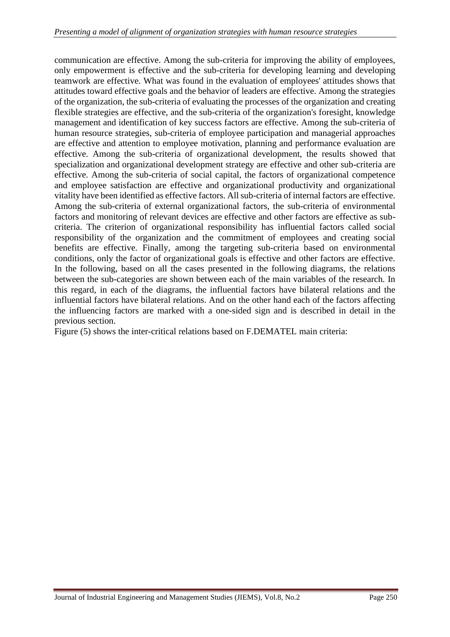communication are effective. Among the sub-criteria for improving the ability of employees, only empowerment is effective and the sub-criteria for developing learning and developing teamwork are effective. What was found in the evaluation of employees' attitudes shows that attitudes toward effective goals and the behavior of leaders are effective. Among the strategies of the organization, the sub-criteria of evaluating the processes of the organization and creating flexible strategies are effective, and the sub-criteria of the organization's foresight, knowledge management and identification of key success factors are effective. Among the sub-criteria of human resource strategies, sub-criteria of employee participation and managerial approaches are effective and attention to employee motivation, planning and performance evaluation are effective. Among the sub-criteria of organizational development, the results showed that specialization and organizational development strategy are effective and other sub-criteria are effective. Among the sub-criteria of social capital, the factors of organizational competence and employee satisfaction are effective and organizational productivity and organizational vitality have been identified as effective factors. All sub-criteria of internal factors are effective. Among the sub-criteria of external organizational factors, the sub-criteria of environmental factors and monitoring of relevant devices are effective and other factors are effective as subcriteria. The criterion of organizational responsibility has influential factors called social responsibility of the organization and the commitment of employees and creating social benefits are effective. Finally, among the targeting sub-criteria based on environmental conditions, only the factor of organizational goals is effective and other factors are effective. In the following, based on all the cases presented in the following diagrams, the relations between the sub-categories are shown between each of the main variables of the research. In this regard, in each of the diagrams, the influential factors have bilateral relations and the influential factors have bilateral relations. And on the other hand each of the factors affecting the influencing factors are marked with a one-sided sign and is described in detail in the previous section.

Figure (5) shows the inter-critical relations based on F.DEMATEL main criteria: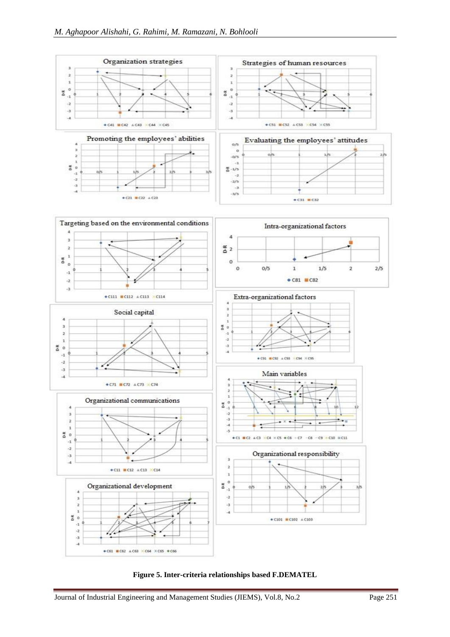

![](_page_18_Figure_2.jpeg)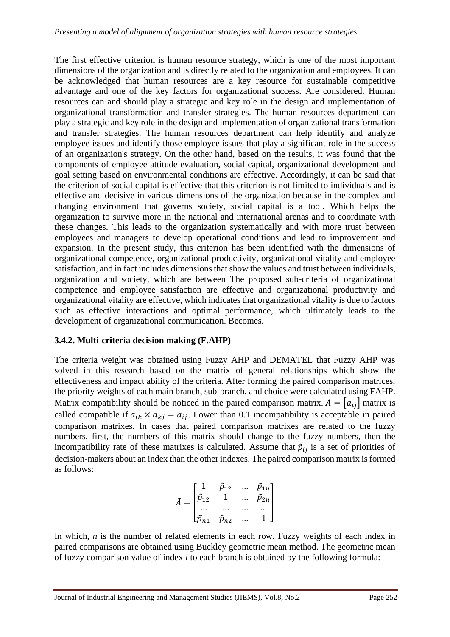The first effective criterion is human resource strategy, which is one of the most important dimensions of the organization and is directly related to the organization and employees. It can be acknowledged that human resources are a key resource for sustainable competitive advantage and one of the key factors for organizational success. Are considered. Human resources can and should play a strategic and key role in the design and implementation of organizational transformation and transfer strategies. The human resources department can play a strategic and key role in the design and implementation of organizational transformation and transfer strategies. The human resources department can help identify and analyze employee issues and identify those employee issues that play a significant role in the success of an organization's strategy. On the other hand, based on the results, it was found that the components of employee attitude evaluation, social capital, organizational development and goal setting based on environmental conditions are effective. Accordingly, it can be said that the criterion of social capital is effective that this criterion is not limited to individuals and is effective and decisive in various dimensions of the organization because in the complex and changing environment that governs society, social capital is a tool. Which helps the organization to survive more in the national and international arenas and to coordinate with these changes. This leads to the organization systematically and with more trust between employees and managers to develop operational conditions and lead to improvement and expansion. In the present study, this criterion has been identified with the dimensions of organizational competence, organizational productivity, organizational vitality and employee satisfaction, and in fact includes dimensions that show the values and trust between individuals, organization and society, which are between The proposed sub-criteria of organizational competence and employee satisfaction are effective and organizational productivity and organizational vitality are effective, which indicates that organizational vitality is due to factors such as effective interactions and optimal performance, which ultimately leads to the development of organizational communication. Becomes.

#### **3.4.2. Multi-criteria decision making (F.AHP)**

The criteria weight was obtained using Fuzzy AHP and DEMATEL that Fuzzy AHP was solved in this research based on the matrix of general relationships which show the effectiveness and impact ability of the criteria. After forming the paired comparison matrices, the priority weights of each main branch, sub-branch, and choice were calculated using FAHP. Matrix compatibility should be noticed in the paired comparison matrix.  $A = [a_{ij}]$  matrix is called compatible if  $a_{ik} \times a_{kj} = a_{ij}$ . Lower than 0.1 incompatibility is acceptable in paired comparison matrixes. In cases that paired comparison matrixes are related to the fuzzy numbers, first, the numbers of this matrix should change to the fuzzy numbers, then the incompatibility rate of these matrixes is calculated. Assume that  $\tilde{p}_{ij}$  is a set of priorities of decision-makers about an index than the other indexes. The paired comparison matrix is formed as follows:

$$
\tilde{A} = \begin{bmatrix}\n1 & \tilde{p}_{12} & \dots & \tilde{p}_{1n} \\
\tilde{p}_{12} & 1 & \dots & \tilde{p}_{2n} \\
\dots & \dots & \dots & \dots \\
\tilde{p}_{n1} & \tilde{p}_{n2} & \dots & 1\n\end{bmatrix}
$$

In which, *n* is the number of related elements in each row. Fuzzy weights of each index in paired comparisons are obtained using Buckley geometric mean method. The geometric mean of fuzzy comparison value of index *i* to each branch is obtained by the following formula: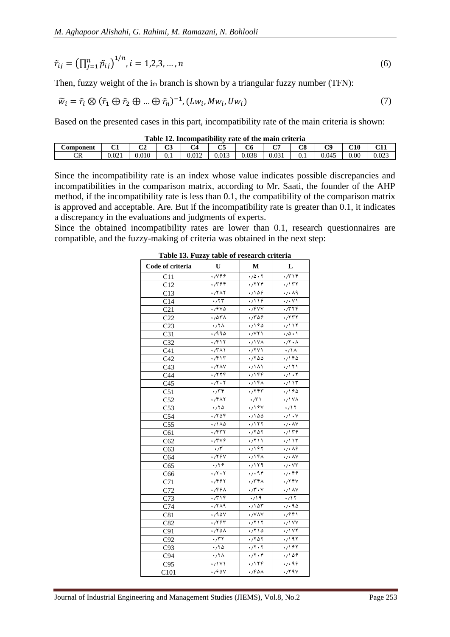$$
\tilde{r}_{ij} = \left(\prod_{j=1}^{n} \tilde{p}_{ij}\right)^{1/n}, i = 1, 2, 3, ..., n
$$
\n(6)

Then, fuzzy weight of the  $i_{th}$  branch is shown by a triangular fuzzy number (TFN):

$$
\widetilde{w}_i = \widetilde{r}_i \otimes (\widetilde{r}_1 \oplus \widetilde{r}_2 \oplus \dots \oplus \widetilde{r}_n)^{-1}, (Lw_i, Mw_i, Uw_i)
$$
\n
$$
\tag{7}
$$

Based on the presented cases in this part, incompatibility rate of the main criteria is shown:

**Table 12. Incompatibility rate of the main criteria**

| ------------------------------- |       |          |              |        |             |             |            |          |         |          |              |
|---------------------------------|-------|----------|--------------|--------|-------------|-------------|------------|----------|---------|----------|--------------|
| Component                       | ்     | oл<br>◡▵ | $\sim$<br>ັບ | $\sim$ | $\sim$<br>ື | $\sim$<br>∪ | mп         | ററ<br>Uσ | гΩ<br>ັ | C10      | C11.1<br>ப்ப |
| гD<br>UN.                       | 0.021 | 0.010    | v. 1         | 0.012  | 0.013       | 0.038       | $0.03^{+}$ | v. 1     | 0.045   | $0.00\,$ | 0.023        |

Since the incompatibility rate is an index whose value indicates possible discrepancies and incompatibilities in the comparison matrix, according to Mr. Saati, the founder of the AHP method, if the incompatibility rate is less than 0.1, the compatibility of the comparison matrix is approved and acceptable. Are. But if the incompatibility rate is greater than 0.1, it indicates a discrepancy in the evaluations and judgments of experts.

Since the obtained incompatibility rates are lower than 0.1, research questionnaires are compatible, and the fuzzy-making of criteria was obtained in the next step:

| Code of criteria | U                                              | M                                 | L                                                 |
|------------------|------------------------------------------------|-----------------------------------|---------------------------------------------------|
| C11              | $\sqrt{1199}$                                  | $\cdot$ /0 $\cdot\overline{r}$    | $\cdot$                                           |
| C12              | .7799                                          | .7779                             | .7177                                             |
| C13              | .77A7                                          | .7109                             | $\sqrt{1.49}$                                     |
| C14              | $\overline{\cdot}$                             | $\sqrt{119}$                      | $\sqrt{\cdot \vee \cdot \cdot \cdot}$             |
| $\overline{C21}$ | .7940                                          | ./۴۷٧                             | .7779                                             |
| C <sub>22</sub>  | $\cdot$ / $\circ$ $\circ$ /                    | .788                              | .757                                              |
| C <sub>23</sub>  | .77 <sub>A</sub>                               | .790                              | .7117                                             |
| C31              | .7990                                          | $\sqrt{NT}$                       | $\cdot$ /0 $\cdot$ )                              |
| $\overline{C32}$ | .7811                                          | $\cdot$ / ۱ Y A                   | $\cdot$ / $\cdot$ $\wedge$                        |
| C <sub>41</sub>  | $\cdot$ /٣٨١                                   | $\cdot$ / $\sqrt{1}$              | $\cdot$ / $\overline{\wedge}$                     |
| C42              | $\cdot$ /۴۱۳                                   | .7800                             | .1190                                             |
| C <sub>43</sub>  | $\cdot$ /۲۸۷                                   | ۰٬۱۸۱                             | .7111                                             |
| C44              | ۰/۲۲۴                                          | .799                              | $\cdot$ / $\cdot$ $\cdot$                         |
| C <sub>45</sub>  | $\cdot$ / $\cdot$ $\cdot$ $\cdot$              | $\cdot$ / ۱۴۸                     | $\cdot$ / ۱۳                                      |
| C51              | .779                                           | .797                              | .190                                              |
| C52              | ۰/۴۸۲                                          | $\sqrt{r}$                        | $\cdot$ /\VA                                      |
| C53              | .70                                            | .194                              | $\cdot$ /17                                       |
| $\overline{C54}$ | .7808                                          | .7100                             | $\cdot$ / $\cdot$ $\cdot$                         |
| C <sub>55</sub>  | $\cdot$ / $\overline{\wedge}\overline{\wedge}$ | $\cdot$ / ۱ ۲ $\overline{r}$      | $\cdot$ / $\cdot$ $\wedge$ $\vee$                 |
| C61              | ۰/۴۳۲                                          | .7807                             | .7159                                             |
| C62              | $\cdot$ /۳۷۶                                   | ۱۱ ۲/۰                            | $\cdot$                                           |
| C63              | $\cdot$                                        | .797                              | $\cdot$ / $\cdot \overline{\lambda \overline{z}}$ |
| C64              | $\cdot$ /۲۶ $\vee$                             | .714A                             | $\cdot$ / $\cdot$ AV                              |
| C65              | $\cdot$ /۲۶                                    | .7179                             | $\cdot$ / $\sqrt{r}$                              |
| C66              | $\cdot$ / $\cdot$ $\cdot$ $\cdot$              | .7.99                             | .7.99                                             |
| C71              | ۰/۴۶۲                                          | .7791                             | .799                                              |
| C72              | .799A                                          | $\cdot$ /۳ $\cdot$ $\vee$         | $\cdot$ / 1 $\wedge$ $\vee$                       |
| C73              | $\sqrt{r}$                                     | $\cdot$ / 19                      | $\cdot$ /17                                       |
| C74              | ۰/۲۸۹                                          | $\cdot$ / 1 $\Delta \overline{r}$ | .7.90                                             |
| C81              | .790y                                          | $\cdot$ / $\vee$ $\wedge$ $\vee$  | $\sqrt{791}$                                      |
| C82              | .7797                                          | .7117                             | $\sqrt{V}$                                        |
| C91              | .782A                                          | .710                              | $\sqrt{111}$                                      |
| C92              | $\sqrt{77}$                                    | .7807                             | $\sqrt{191}$                                      |
| C93              | .70                                            | $\cdot$ / $\cdot$ $\cdot$ $\cdot$ | .797                                              |
| C94              | $\cdot$ /۲ $\wedge$                            | $\cdot$ /۲ $\cdot$ ۴              | .109                                              |
| C95              | ۰/۱۷۱                                          | .7179                             | 4,49                                              |
| C101             | .788V                                          | .780A                             | $\cdot$ / $\sqrt{9}$                              |

**Table 13. Fuzzy table of research criteria**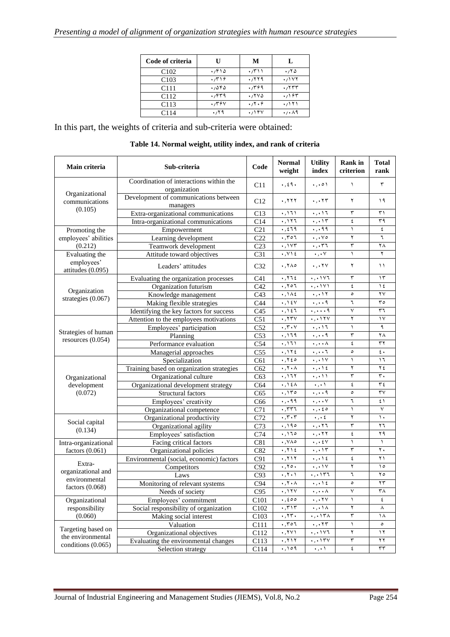| Code of criteria | U     | M                                 | L     |
|------------------|-------|-----------------------------------|-------|
| C <sub>102</sub> | ۱۳۱۵  | $\cdot$ / $\uparrow$ ) $\uparrow$ | ۱۱۲۵  |
| C <sub>103</sub> | .779  | .7779                             | .7157 |
| C <sub>111</sub> | ۱٬۵۴۵ | .7799                             | ۰/۲۳۳ |
| C <sub>112</sub> | ۰٬۴۳۹ | ۱٬۲۷۵                             | ۰/۱۶۳ |
| C <sub>113</sub> | .7794 | $\cdot 7.9$                       | ۱۲۱،۰ |
| C <sub>114</sub> | .79   | .718V                             | ۰٬۰۸۹ |

In this part, the weights of criteria and sub-criteria were obtained:

| Main criteria                              | Sub-criteria                                            | Code              | <b>Normal</b><br>weight                               | <b>Utility</b><br>index                              | <b>Rank</b> in<br>criterion | <b>Total</b><br>rank   |
|--------------------------------------------|---------------------------------------------------------|-------------------|-------------------------------------------------------|------------------------------------------------------|-----------------------------|------------------------|
|                                            | Coordination of interactions within the<br>organization | C11               | $\cdot$ , $\epsilon$ 9 $\cdot$                        | $\ldots$                                             | $\lambda$                   | ٣                      |
| Organizational<br>communications           | Development of communications between<br>managers       | C12               | ۰,۲۲۲                                                 | ۰٫۰۲۳                                                | ٢                           | ۱۹                     |
| (0.105)                                    | Extra-organizational communications                     | C13               | $\cdot$ , 171                                         | $\cdot$ , $\cdot$ 17                                 | ٣                           | ۳۱                     |
|                                            | Intra-organizational communications                     | C14               | .117                                                  | $\cdot$ , $\cdot$                                    | ٤                           | ٣٩                     |
| Promoting the                              | Empowerment                                             | C21               | $\cdot$ , $279$                                       | $\cdot$ , $\cdot$ 99                                 | $\overline{\phantom{0}}$    | $\epsilon$             |
| employees' abilities                       | Learning development                                    | C <sub>22</sub>   | ,701                                                  | $\cdot$ , $\cdot \vee \circ$                         | ٢                           | ٦                      |
| (0.212)                                    | Teamwork development                                    | $\overline{C23}$  | .157                                                  | ۰٫۰۳٦                                                | ٣                           | ٢٨                     |
| Evaluating the                             | Attitude toward objectives                              | C31               | $\cdot$ , $\vee$ 1 $\epsilon$                         | $\scriptstyle\bullet$ , $\scriptstyle\bullet$ $\lor$ | $\lambda$                   | ٢                      |
| employees'<br>attitudes (0.095)            | Leaders' attitudes                                      | C32               | .7A0                                                  | $\cdot$ , $\cdot$ ۲۷                                 | ۲                           | $\setminus$            |
|                                            | Evaluating the organization processes                   | C <sub>41</sub>   | .772                                                  | ۰,۰۱۷٦                                               | ٣                           | $\gamma$               |
| Organization                               | Organization futurism                                   | C42               | .707                                                  | $\cdot$ , $\cdot$ $\vee$ $\vee$                      | ٤                           | ع ۱                    |
| strategies (0.067)                         | Knowledge management                                    | C43               | $\cdot$ , 1 $\wedge$ 2                                | $\cdot$ , $\cdot$                                    | $\circ$                     | $\mathsf{Y}\mathsf{V}$ |
|                                            | Making flexible strategies                              | C44               | $\cdot$ , 1 ٤ $\vee$                                  | $\ldots$ 9                                           | ٦                           | $r \circ$              |
|                                            | Identifying the key factors for success                 | C45               | $\cdot$ , $\cdot$ $\zeta$ $\overline{\zeta}$          | ۰,۰۰۰۹                                               | ٧                           | ٣٦                     |
|                                            | Attention to the employees motivations                  | $\overline{C51}$  | .75V                                                  | $\cdot$ , $\cdot$ $\wedge$ $\wedge$                  | ٢                           | $\vee$                 |
|                                            | Employees' participation                                | C52               | $\cdot$ , $\mathsf{r} \cdot \mathsf{v}$               | ۰٫۰۱٦                                                | $\lambda$                   | ٩                      |
| Strategies of human<br>resources $(0.054)$ | Planning                                                | C53               | .119                                                  | $\cdot$ , $\cdot$ $\overline{q}$                     | ٣                           | ٢٨                     |
|                                            | Performance evaluation                                  | C54               | $\cdot$ , 171                                         | ۰٫۰۰۸                                                | ٤                           | ٣٢                     |
|                                            | Managerial approaches                                   | C <sub>55</sub>   | .112                                                  | $\cdot$ , $\cdot$ . T                                | $\circ$                     | $\mathfrak{c}$ .       |
|                                            | Specialization                                          | C61               | .750                                                  | $\cdot$ , $\cdot \overline{iv}$                      | $\lambda$                   | ۲ (                    |
|                                            | Training based on organization strategies               | C62               | $\cdot$ , $\cdot$ $\wedge$                            | $\cdot$ , $\cdot$ \ {                                | ۲                           | ۲٤                     |
| Organizational                             | Organizational culture                                  | $\overline{C63}$  | .177                                                  | $\cdot$ , $\cdot$ )                                  | ٣                           | $\mathbf r$ .          |
| development                                | Organizational development strategy                     | $\overline{C64}$  | $\star$ , $\uparrow$ $\uparrow$ $\uparrow$ $\uparrow$ | $\cdot$ , $\cdot$                                    | ٤                           | ۳٤                     |
| (0.072)                                    | Structural factors                                      | C65               | .150                                                  | $\ldots$ q                                           | $\circ$                     | $\mathsf{r}\mathsf{v}$ |
|                                            | Employees' creativity                                   | C66               | $\cdot$ , $\cdot$ 99                                  | $\cdot$ , $\cdot$ . $\vee$                           | ٦                           | ٤١                     |
|                                            | Organizational competence                               | C71               | $\cdot$ , $\tau\tau\tau$                              | $\cdot$ , $\cdot$ $\epsilon$ $\circ$                 | $\lambda$                   | $\vee$                 |
| Social capital                             | Organizational productivity                             | C72               | $\cdot$ , $\mathsf{r}\cdot\mathsf{r}$                 | $\cdot$ , $\cdot$ ź                                  | ۲                           | ١.                     |
| (0.134)                                    | Organizational agility                                  | $\overline{C73}$  | .190                                                  | ۰,۰۲٦                                                | ٣                           | ٢٦                     |
|                                            | Employees' satisfaction                                 | $\overline{C74}$  | .170                                                  | $\cdot$ , $\cdot$ ۲۲                                 | ٤                           | ۲۹                     |
| Intra-organizational                       | Facing critical factors                                 | $\overline{C81}$  | $\cdot$ , $\vee \wedge \circ$                         | $\cdot$ , $\cdot$ ٤٧                                 | $\lambda$                   | $\lambda$              |
| factors $(0.061)$                          | Organizational policies                                 | C82               | .712                                                  | $\cdot$ , $\cdot$                                    | ٣                           | ٢.                     |
|                                            | Environmental (social, economic) factors                | C91               | ۰,۲۱۲                                                 | $\cdot$ , $\cdot$ \ {                                | ٤                           | ۲۱                     |
| Extra-                                     | Competitors                                             | C92               | .70.                                                  | $\cdot$ , $\cdot$ ) $\vee$                           | ٢                           | $\Delta$               |
| organizational and<br>environmental        | Laws                                                    | C93               | $\cdot$ , $\cdot$ $\cdot$ $\cdot$                     | $\cdot$ , $\cdot$ , $\uparrow$                       | ٦                           | ه ۲                    |
| factors $(0.068)$                          | Monitoring of relevant systems                          | C94               | $\cdot$ , $\cdot$ $\wedge$                            | $\cdot$ , $\cdot$ \ {                                | $\circ$                     | $\mathbf{r}$           |
|                                            | Needs of society                                        | C95               | $\cdot, \cdot$                                        | ۰٫۰۰۸                                                | $\checkmark$                | ٣٨                     |
| Organizational                             | Employees' commitment                                   | C101              | .500                                                  | $\cdot$ , $\cdot$ ۲۷                                 | $\lambda$                   | ٤                      |
| responsibility                             | Social responsibility of organization                   | C102              | $\cdot$ , $\mathsf{r}\wedge\mathsf{r}$                | $\cdot$ , $\cdot$ , $\overline{\lambda}$             | ۲                           | $\lambda$              |
| (0.060)                                    | Making social interest                                  | $\overline{C103}$ | .75.                                                  | $\cdot$ , $\cdot$ , $\uparrow$ r $\wedge$            | ٣                           | ١٨                     |
|                                            | Valuation                                               | $\overline{C111}$ | .707                                                  | $\cdot$ , $\cdot$ ۲۳                                 | $\lambda$                   | $\circ$                |
| Targeting based on<br>the environmental    | Organizational objectives                               | C112              | $\cdot$ , $\tau$ $\vee$ $\wedge$                      | $\cdot$ , $\cdot$ , $\vee$                           | ۲                           | ۱۲                     |
| conditions $(0.065)$                       | Evaluating the environmental changes                    | C113              | .711                                                  | $\cdot$ , $\cdot$ , $\mathsf{Y}$                     | ٣                           | ۲۲                     |
|                                            | Selection strategy                                      | C114              | ,109                                                  | $\scriptstyle\bullet$ , $\scriptstyle\bullet$ )      | ٤                           | $\tau\tau$             |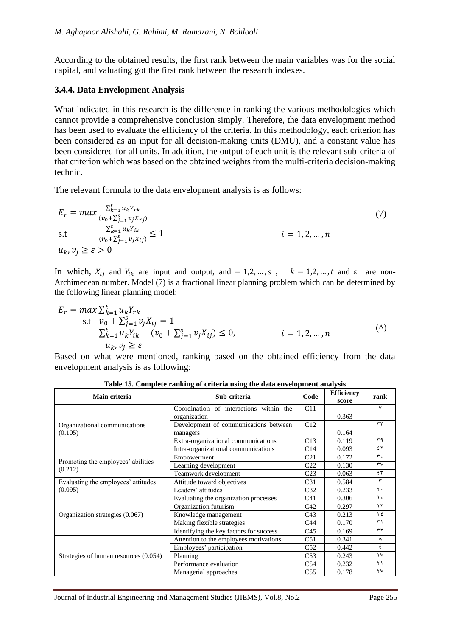According to the obtained results, the first rank between the main variables was for the social capital, and valuating got the first rank between the research indexes.

#### **3.4.4. Data Envelopment Analysis**

What indicated in this research is the difference in ranking the various methodologies which cannot provide a comprehensive conclusion simply. Therefore, the data envelopment method has been used to evaluate the efficiency of the criteria. In this methodology, each criterion has been considered as an input for all decision-making units (DMU), and a constant value has been considered for all units. In addition, the output of each unit is the relevant sub-criteria of that criterion which was based on the obtained weights from the multi-criteria decision-making technic.

The relevant formula to the data envelopment analysis is as follows:

$$
E_r = \max \frac{\sum_{k=1}^{t} u_k Y_{rk}}{(v_0 + \sum_{j=1}^{s} v_j X_{rj})}
$$
  
s.t 
$$
\frac{\sum_{k=1}^{t} u_k Y_{ik}}{(v_0 + \sum_{j=1}^{s} v_j X_{ij})} \le 1
$$
  
 $u_k, v_j \ge \varepsilon > 0$  (7)

In which,  $X_{ij}$  and  $Y_{ik}$  are input and output, and = 1,2, ..., s,  $k = 1,2,...,t$  and  $\varepsilon$  are non-Archimedean number. Model (7) is a fractional linear planning problem which can be determined by the following linear planning model:

$$
E_r = \max \sum_{k=1}^t u_k Y_{rk}
$$
  
s.t  $v_0 + \sum_{j=1}^s v_j X_{ij} = 1$   

$$
\sum_{k=1}^t u_k Y_{ik} - (v_0 + \sum_{j=1}^s v_j X_{ij}) \le 0, \qquad i = 1, 2, ..., n
$$
  
 $u_k, v_j \ge \varepsilon$  (4)

Based on what were mentioned, ranking based on the obtained efficiency from the data envelopment analysis is as following:

| Main criteria                                 | Sub-criteria                            | Code            | <b>Efficiency</b><br>score | rank                   |
|-----------------------------------------------|-----------------------------------------|-----------------|----------------------------|------------------------|
|                                               | Coordination of interactions within the | C11             |                            | $\checkmark$           |
|                                               | organization                            |                 | 0.363                      |                        |
| Organizational communications                 | Development of communications between   | C12             |                            | $\tau\tau$             |
| (0.105)                                       | managers                                |                 | 0.164                      |                        |
|                                               | Extra-organizational communications     | C13             | 0.119                      | ۳۹                     |
|                                               | Intra-organizational communications     | C14             | 0.093                      | ٤٢                     |
|                                               | Empowerment                             | C <sub>21</sub> | 0.172                      | ٣.                     |
| Promoting the employees' abilities<br>(0.212) | Learning development                    | C <sub>22</sub> | 0.130                      | $\mathsf{r}\mathsf{v}$ |
|                                               | Teamwork development                    | C <sub>23</sub> | 0.063                      | ٤٣                     |
| Evaluating the employees' attitudes           | Attitude toward objectives              | C <sub>31</sub> | 0.584                      | ٣                      |
| (0.095)                                       | Leaders' attitudes                      | C <sub>32</sub> | 0.233                      | $\mathbf{r}$ .         |
|                                               | Evaluating the organization processes   | C <sub>41</sub> | 0.306                      | ١.                     |
|                                               | Organization futurism                   | C42             | 0.297                      | ١٢                     |
| Organization strategies (0.067)               | Knowledge management                    | C <sub>43</sub> | 0.213                      | ۲٤                     |
|                                               | Making flexible strategies              | C <sub>44</sub> | 0.170                      | ٣١                     |
|                                               | Identifying the key factors for success | C <sub>45</sub> | 0.169                      | $\tau\tau$             |
|                                               | Attention to the employees motivations  | C51             | 0.341                      | ٨                      |
|                                               | Employees' participation                | C <sub>52</sub> | 0.442                      | ٤                      |
| Strategies of human resources (0.054)         | Planning                                | C <sub>53</sub> | 0.243                      | $\sqrt{}$              |
|                                               | Performance evaluation                  | C <sub>54</sub> | 0.232                      | ۲۱                     |
|                                               | Managerial approaches                   | C <sub>55</sub> | 0.178                      | ۲٧                     |

**Table 15. Complete ranking of criteria using the data envelopment analysis**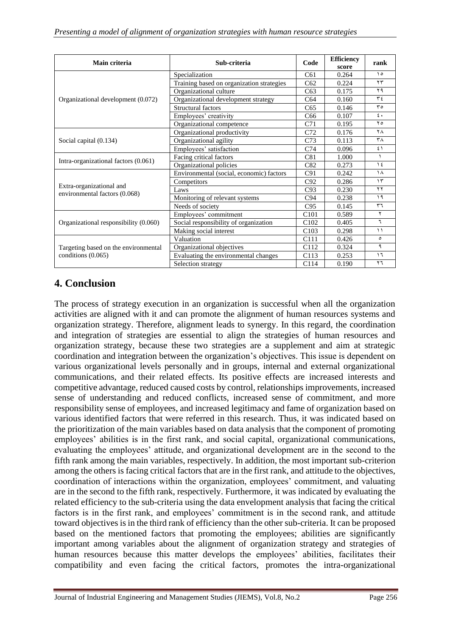| Main criteria                                             | Sub-criteria                              | Code             | <b>Efficiency</b><br>score | rank          |
|-----------------------------------------------------------|-------------------------------------------|------------------|----------------------------|---------------|
|                                                           | Specialization                            | C61              | 0.264                      | $\Delta$      |
|                                                           | Training based on organization strategies | C62              | 0.224                      | $\tau\tau$    |
|                                                           | Organizational culture                    | C63              | 0.175                      | ۲۹            |
| Organizational development (0.072)                        | Organizational development strategy       | C64              | 0.160                      | ع ۳           |
|                                                           | <b>Structural factors</b>                 | C65              | 0.146                      | $r \circ$     |
|                                                           | Employees' creativity                     | C <sub>66</sub>  | 0.107                      | $\epsilon$ .  |
|                                                           | Organizational competence                 | C71              | 0.195                      | ه ۲           |
|                                                           | Organizational productivity               | C72              | 0.176                      | ٢٨            |
| Social capital (0.134)                                    | Organizational agility                    | C <sub>73</sub>  | 0.113                      | ۳٨            |
|                                                           | Employees' satisfaction                   | C74              | 0.096                      | ٤١            |
| Intra-organizational factors (0.061)                      | Facing critical factors                   | C81              | 1.000                      | $\lambda$     |
|                                                           | Organizational policies                   | C82              | 0.273                      | $\frac{1}{2}$ |
|                                                           | Environmental (social, economic) factors  | C91              | 0.242                      | ١٨            |
|                                                           | Competitors                               | C92              | 0.286                      | $\gamma$      |
| Extra-organizational and<br>environmental factors (0.068) | Laws                                      | C93              | 0.230                      | ۲۲            |
|                                                           | Monitoring of relevant systems            | C94              | 0.238                      | ۱۹            |
|                                                           | Needs of society                          | C95              | 0.145                      | ٣٦            |
|                                                           | Employees' commitment                     | C <sub>101</sub> | 0.589                      | ۲             |
| Organizational responsibility (0.060)                     | Social responsibility of organization     | C <sub>102</sub> | 0.405                      | ٦             |
|                                                           | Making social interest                    | C <sub>103</sub> | 0.298                      | $\mathcal{L}$ |
|                                                           | Valuation                                 | C111             | 0.426                      | ٥             |
| Targeting based on the environmental                      | Organizational objectives                 | C112             | 0.324                      | ٩             |
| conditions (0.065)                                        | Evaluating the environmental changes      | C113             | 0.253                      | ١٦            |
|                                                           | Selection strategy                        | C <sub>114</sub> | 0.190                      | ۲٦            |

## **4. Conclusion**

The process of strategy execution in an organization is successful when all the organization activities are aligned with it and can promote the alignment of human resources systems and organization strategy. Therefore, alignment leads to synergy. In this regard, the coordination and integration of strategies are essential to align the strategies of human resources and organization strategy, because these two strategies are a supplement and aim at strategic coordination and integration between the organization's objectives. This issue is dependent on various organizational levels personally and in groups, internal and external organizational communications, and their related effects. Its positive effects are increased interests and competitive advantage, reduced caused costs by control, relationships improvements, increased sense of understanding and reduced conflicts, increased sense of commitment, and more responsibility sense of employees, and increased legitimacy and fame of organization based on various identified factors that were referred in this research. Thus, it was indicated based on the prioritization of the main variables based on data analysis that the component of promoting employees' abilities is in the first rank, and social capital, organizational communications, evaluating the employees' attitude, and organizational development are in the second to the fifth rank among the main variables, respectively. In addition, the most important sub-criterion among the others is facing critical factors that are in the first rank, and attitude to the objectives, coordination of interactions within the organization, employees' commitment, and valuating are in the second to the fifth rank, respectively. Furthermore, it was indicated by evaluating the related efficiency to the sub-criteria using the data envelopment analysis that facing the critical factors is in the first rank, and employees' commitment is in the second rank, and attitude toward objectives is in the third rank of efficiency than the other sub-criteria. It can be proposed based on the mentioned factors that promoting the employees; abilities are significantly important among variables about the alignment of organization strategy and strategies of human resources because this matter develops the employees' abilities, facilitates their compatibility and even facing the critical factors, promotes the intra-organizational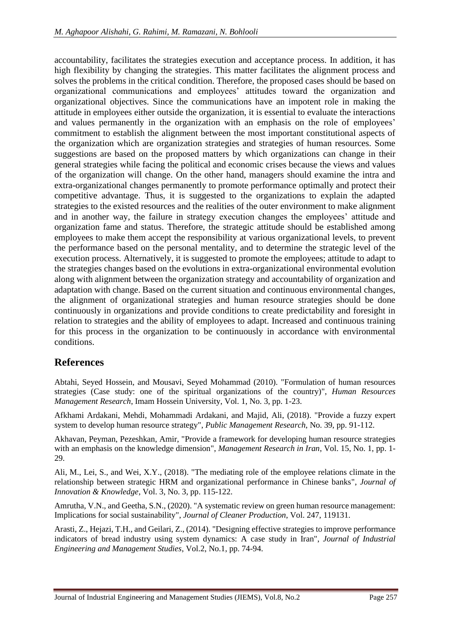accountability, facilitates the strategies execution and acceptance process. In addition, it has high flexibility by changing the strategies. This matter facilitates the alignment process and solves the problems in the critical condition. Therefore, the proposed cases should be based on organizational communications and employees' attitudes toward the organization and organizational objectives. Since the communications have an impotent role in making the attitude in employees either outside the organization, it is essential to evaluate the interactions and values permanently in the organization with an emphasis on the role of employees' commitment to establish the alignment between the most important constitutional aspects of the organization which are organization strategies and strategies of human resources. Some suggestions are based on the proposed matters by which organizations can change in their general strategies while facing the political and economic crises because the views and values of the organization will change. On the other hand, managers should examine the intra and extra-organizational changes permanently to promote performance optimally and protect their competitive advantage. Thus, it is suggested to the organizations to explain the adapted strategies to the existed resources and the realities of the outer environment to make alignment and in another way, the failure in strategy execution changes the employees' attitude and organization fame and status. Therefore, the strategic attitude should be established among employees to make them accept the responsibility at various organizational levels, to prevent the performance based on the personal mentality, and to determine the strategic level of the execution process. Alternatively, it is suggested to promote the employees; attitude to adapt to the strategies changes based on the evolutions in extra-organizational environmental evolution along with alignment between the organization strategy and accountability of organization and adaptation with change. Based on the current situation and continuous environmental changes, the alignment of organizational strategies and human resource strategies should be done continuously in organizations and provide conditions to create predictability and foresight in relation to strategies and the ability of employees to adapt. Increased and continuous training for this process in the organization to be continuously in accordance with environmental conditions.

## **References**

Abtahi, Seyed Hossein, and Mousavi, Seyed Mohammad (2010). "Formulation of human resources strategies (Case study: one of the spiritual organizations of the country)", *Human Resources Management Research*, Imam Hossein University, Vol. 1, No. 3, pp. 1-23.

Afkhami Ardakani, Mehdi, Mohammadi Ardakani, and Majid, Ali, (2018). "Provide a fuzzy expert system to develop human resource strategy", *Public Management Research*, No. 39, pp. 91-112.

Akhavan, Peyman, Pezeshkan, Amir, "Provide a framework for developing human resource strategies with an emphasis on the knowledge dimension", *Management Research in Iran*, Vol. 15, No. 1, pp. 1- 29.

Ali, M., Lei, S., and Wei, X.Y., (2018). "The mediating role of the employee relations climate in the relationship between strategic HRM and organizational performance in Chinese banks", *Journal of Innovation & Knowledge*, Vol. 3, No. 3, pp. 115-122.

Amrutha, V.N., and Geetha, S.N., (2020). "A systematic review on green human resource management: Implications for social sustainability", *Journal of Cleaner Production*, Vol. 247, 119131.

Arasti, Z., Hejazi, T.H., and Geilari, Z., (2014). "Designing effective strategies to improve performance indicators of bread industry using system dynamics: A case study in Iran", *Journal of Industrial Engineering and Management Studies*, Vol.2, No.1, pp. 74-94.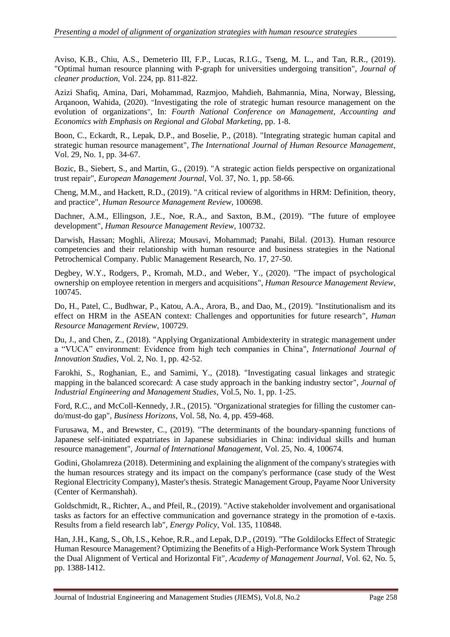Aviso, K.B., Chiu, A.S., Demeterio III, F.P., Lucas, R.I.G., Tseng, M. L., and Tan, R.R., (2019). "Optimal human resource planning with P-graph for universities undergoing transition", *Journal of cleaner production*, Vol. 224, pp. 811-822.

Azizi Shafiq, Amina, Dari, Mohammad, Razmjoo, Mahdieh, Bahmannia, Mina, Norway, Blessing, Arqanoon, Wahida, (2020). "Investigating the role of strategic human resource management on the evolution of organizations", In: *Fourth National Conference on Management, Accounting and Economics with Emphasis on Regional and Global Marketing*, pp. 1-8.

Boon, C., Eckardt, R., Lepak, D.P., and Boselie, P., (2018). "Integrating strategic human capital and strategic human resource management", *The International Journal of Human Resource Management*, Vol. 29, No. 1, pp. 34-67.

Bozic, B., Siebert, S., and Martin, G., (2019). "A strategic action fields perspective on organizational trust repair", *European Management Journal*, Vol. 37, No. 1, pp. 58-66.

Cheng, M.M., and Hackett, R.D., (2019). "A critical review of algorithms in HRM: Definition, theory, and practice", *Human Resource Management Review*, 100698.

Dachner, A.M., Ellingson, J.E., Noe, R.A., and Saxton, B.M., (2019). "The future of employee development", *Human Resource Management Review*, 100732.

Darwish, Hassan; Moghli, Alireza; Mousavi, Mohammad; Panahi, Bilal. (2013). Human resource competencies and their relationship with human resource and business strategies in the National Petrochemical Company. Public Management Research, No. 17, 27-50.

Degbey, W.Y., Rodgers, P., Kromah, M.D., and Weber, Y., (2020). "The impact of psychological ownership on employee retention in mergers and acquisitions", *Human Resource Management Review*, 100745.

Do, H., Patel, C., Budhwar, P., Katou, A.A., Arora, B., and Dao, M., (2019). "Institutionalism and its effect on HRM in the ASEAN context: Challenges and opportunities for future research", *Human Resource Management Review*, 100729.

Du, J., and Chen, Z., (2018). "Applying Organizational Ambidexterity in strategic management under a "VUCA" environment: Evidence from high tech companies in China", *International Journal of Innovation Studies*, Vol. 2, No. 1, pp. 42-52.

Farokhi, S., Roghanian, E., and Samimi, Y., (2018). "Investigating casual linkages and strategic mapping in the balanced scorecard: A case study approach in the banking industry sector", *Journal of Industrial Engineering and Management Studies*, Vol.5, No. 1, pp. 1-25.

Ford, R.C., and McColl-Kennedy, J.R., (2015). "Organizational strategies for filling the customer cando/must-do gap", *Business Horizons*, Vol. 58, No. 4, pp. 459-468.

Furusawa, M., and Brewster, C., (2019). "The determinants of the boundary-spanning functions of Japanese self-initiated expatriates in Japanese subsidiaries in China: individual skills and human resource management", *Journal of International Management*, Vol. 25, No. 4, 100674.

Godini, Gholamreza (2018). Determining and explaining the alignment of the company's strategies with the human resources strategy and its impact on the company's performance (case study of the West Regional Electricity Company), Master's thesis. Strategic Management Group, Payame Noor University (Center of Kermanshah).

Goldschmidt, R., Richter, A., and Pfeil, R., (2019). "Active stakeholder involvement and organisational tasks as factors for an effective communication and governance strategy in the promotion of e-taxis. Results from a field research lab", *Energy Policy*, Vol. 135, 110848.

Han, J.H., Kang, S., Oh, I.S., Kehoe, R.R., and Lepak, D.P., (2019). "The Goldilocks Effect of Strategic Human Resource Management? Optimizing the Benefits of a High-Performance Work System Through the Dual Alignment of Vertical and Horizontal Fit", *Academy of Management Journal*, Vol. 62, No. 5, pp. 1388-1412.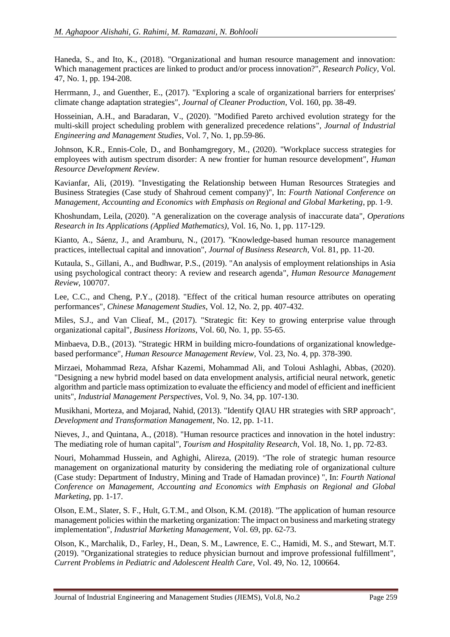Haneda, S., and Ito, K., (2018). "Organizational and human resource management and innovation: Which management practices are linked to product and/or process innovation?", *Research Policy*, Vol. 47, No. 1, pp. 194-208.

Herrmann, J., and Guenther, E., (2017). "Exploring a scale of organizational barriers for enterprises' climate change adaptation strategies", *Journal of Cleaner Production*, Vol. 160, pp. 38-49.

Hosseinian, A.H., and Baradaran, V., (2020). "Modified Pareto archived evolution strategy for the multi-skill project scheduling problem with generalized precedence relations", *Journal of Industrial Engineering and Management Studies*, Vol. 7, No. 1, pp.59-86.

Johnson, K.R., Ennis-Cole, D., and Bonhamgregory, M., (2020). "Workplace success strategies for employees with autism spectrum disorder: A new frontier for human resource development", *Human Resource Development Review*.

Kavianfar, Ali, (2019). "Investigating the Relationship between Human Resources Strategies and Business Strategies (Case study of Shahroud cement company)", In: *Fourth National Conference on Management, Accounting and Economics with Emphasis on Regional and Global Marketing*, pp. 1-9.

Khoshundam, Leila, (2020). "A generalization on the coverage analysis of inaccurate data", *Operations Research in Its Applications (Applied Mathematics)*, Vol. 16, No. 1, pp. 117-129.

Kianto, A., Sáenz, J., and Aramburu, N., (2017). "Knowledge-based human resource management practices, intellectual capital and innovation", *Journal of Business Research*, Vol. 81, pp. 11-20.

Kutaula, S., Gillani, A., and Budhwar, P.S., (2019). "An analysis of employment relationships in Asia using psychological contract theory: A review and research agenda", *Human Resource Management Review*, 100707.

Lee, C.C., and Cheng, P.Y., (2018). "Effect of the critical human resource attributes on operating performances", *Chinese Management Studies*, Vol. 12, No. 2, pp. 407-432.

Miles, S.J., and Van Clieaf, M., (2017). "Strategic fit: Key to growing enterprise value through organizational capital", *Business Horizons*, Vol. 60, No. 1, pp. 55-65.

Minbaeva, D.B., (2013). "Strategic HRM in building micro-foundations of organizational knowledgebased performance", *Human Resource Management Review*, Vol. 23, No. 4, pp. 378-390.

Mirzaei, Mohammad Reza, Afshar Kazemi, Mohammad Ali, and Toloui Ashlaghi, Abbas, (2020). "Designing a new hybrid model based on data envelopment analysis, artificial neural network, genetic algorithm and particle mass optimization to evaluate the efficiency and model of efficient and inefficient units", *Industrial Management Perspectives*, Vol. 9, No. 34, pp. 107-130.

Musikhani, Morteza, and Mojarad, Nahid, (2013). "Identify QIAU HR strategies with SRP approach", *Development and Transformation Management*, No. 12, pp. 1-11.

Nieves, J., and Quintana, A., (2018). "Human resource practices and innovation in the hotel industry: The mediating role of human capital", *Tourism and Hospitality Research*, Vol. 18, No. 1, pp. 72-83.

Nouri, Mohammad Hussein, and Aghighi, Alireza, (2019). "The role of strategic human resource management on organizational maturity by considering the mediating role of organizational culture (Case study: Department of Industry, Mining and Trade of Hamadan province) ", In: *Fourth National Conference on Management, Accounting and Economics with Emphasis on Regional and Global Marketing*, pp. 1-17.

Olson, E.M., Slater, S. F., Hult, G.T.M., and Olson, K.M. (2018). "The application of human resource management policies within the marketing organization: The impact on business and marketing strategy implementation", *Industrial Marketing Management*, Vol. 69, pp. 62-73.

Olson, K., Marchalik, D., Farley, H., Dean, S. M., Lawrence, E. C., Hamidi, M. S., and Stewart, M.T. (2019). "Organizational strategies to reduce physician burnout and improve professional fulfillment", *Current Problems in Pediatric and Adolescent Health Care*, Vol. 49, No. 12, 100664.